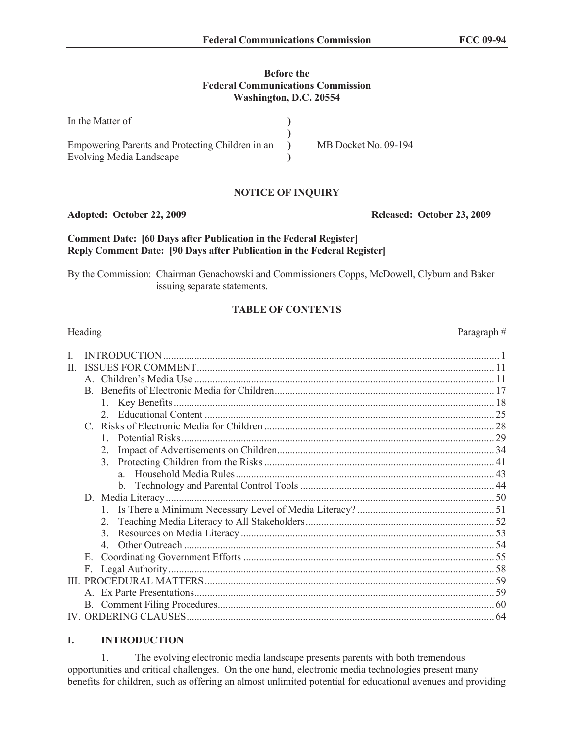## **Before the Federal Communications Commission Washington, D.C. 20554**

| In the Matter of                                 |                      |
|--------------------------------------------------|----------------------|
| Empowering Parents and Protecting Children in an | MB Docket No. 09-194 |
| Evolving Media Landscape                         |                      |

## **NOTICE OF INQUIRY**

## **Adopted: October 22, 2009 Released: October 23, 2009**

## **Comment Date: [60 Days after Publication in the Federal Register] Reply Comment Date: [90 Days after Publication in the Federal Register]**

By the Commission: Chairman Genachowski and Commissioners Copps, McDowell, Clyburn and Baker issuing separate statements.

# **TABLE OF CONTENTS**

| H. |                |  |
|----|----------------|--|
|    |                |  |
|    |                |  |
|    |                |  |
|    |                |  |
|    |                |  |
|    |                |  |
|    | 2.             |  |
|    | 3 <sub>1</sub> |  |
|    |                |  |
|    |                |  |
|    |                |  |
|    |                |  |
|    | 2              |  |
|    | $\mathcal{E}$  |  |
|    |                |  |
|    | $E_{\rm{}}$    |  |
|    | F.             |  |
| Ш  |                |  |
|    |                |  |
|    |                |  |
|    |                |  |

# **I. INTRODUCTION**

1. The evolving electronic media landscape presents parents with both tremendous opportunities and critical challenges. On the one hand, electronic media technologies present many benefits for children, such as offering an almost unlimited potential for educational avenues and providing

## Heading Paragraph #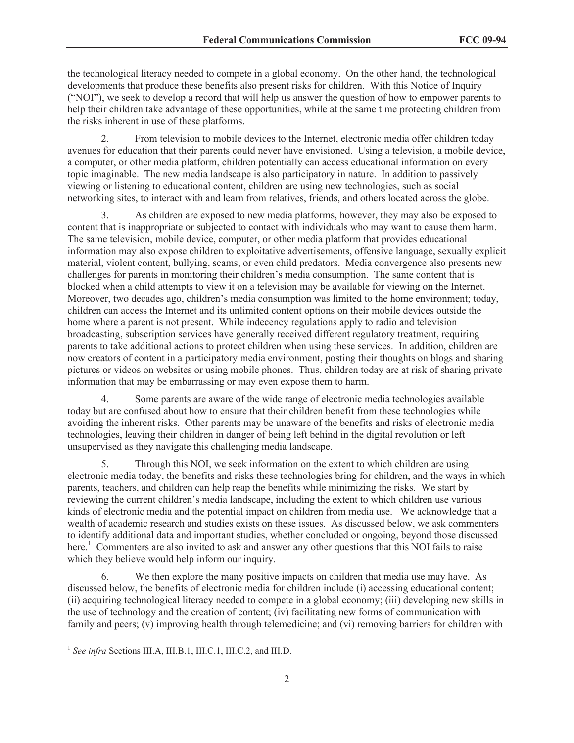the technological literacy needed to compete in a global economy. On the other hand, the technological developments that produce these benefits also present risks for children. With this Notice of Inquiry ("NOI"), we seek to develop a record that will help us answer the question of how to empower parents to help their children take advantage of these opportunities, while at the same time protecting children from the risks inherent in use of these platforms.

2. From television to mobile devices to the Internet, electronic media offer children today avenues for education that their parents could never have envisioned. Using a television, a mobile device, a computer, or other media platform, children potentially can access educational information on every topic imaginable. The new media landscape is also participatory in nature. In addition to passively viewing or listening to educational content, children are using new technologies, such as social networking sites, to interact with and learn from relatives, friends, and others located across the globe.

3. As children are exposed to new media platforms, however, they may also be exposed to content that is inappropriate or subjected to contact with individuals who may want to cause them harm. The same television, mobile device, computer, or other media platform that provides educational information may also expose children to exploitative advertisements, offensive language, sexually explicit material, violent content, bullying, scams, or even child predators. Media convergence also presents new challenges for parents in monitoring their children's media consumption. The same content that is blocked when a child attempts to view it on a television may be available for viewing on the Internet. Moreover, two decades ago, children's media consumption was limited to the home environment; today, children can access the Internet and its unlimited content options on their mobile devices outside the home where a parent is not present. While indecency regulations apply to radio and television broadcasting, subscription services have generally received different regulatory treatment, requiring parents to take additional actions to protect children when using these services. In addition, children are now creators of content in a participatory media environment, posting their thoughts on blogs and sharing pictures or videos on websites or using mobile phones. Thus, children today are at risk of sharing private information that may be embarrassing or may even expose them to harm.

4. Some parents are aware of the wide range of electronic media technologies available today but are confused about how to ensure that their children benefit from these technologies while avoiding the inherent risks. Other parents may be unaware of the benefits and risks of electronic media technologies, leaving their children in danger of being left behind in the digital revolution or left unsupervised as they navigate this challenging media landscape.

5. Through this NOI, we seek information on the extent to which children are using electronic media today, the benefits and risks these technologies bring for children, and the ways in which parents, teachers, and children can help reap the benefits while minimizing the risks. We start by reviewing the current children's media landscape, including the extent to which children use various kinds of electronic media and the potential impact on children from media use. We acknowledge that a wealth of academic research and studies exists on these issues. As discussed below, we ask commenters to identify additional data and important studies, whether concluded or ongoing, beyond those discussed here.<sup>1</sup> Commenters are also invited to ask and answer any other questions that this NOI fails to raise which they believe would help inform our inquiry.

6. We then explore the many positive impacts on children that media use may have. As discussed below, the benefits of electronic media for children include (i) accessing educational content; (ii) acquiring technological literacy needed to compete in a global economy; (iii) developing new skills in the use of technology and the creation of content; (iv) facilitating new forms of communication with family and peers; (v) improving health through telemedicine; and (vi) removing barriers for children with

<sup>&</sup>lt;sup>1</sup> See infra Sections III.A, III.B.1, III.C.1, III.C.2, and III.D.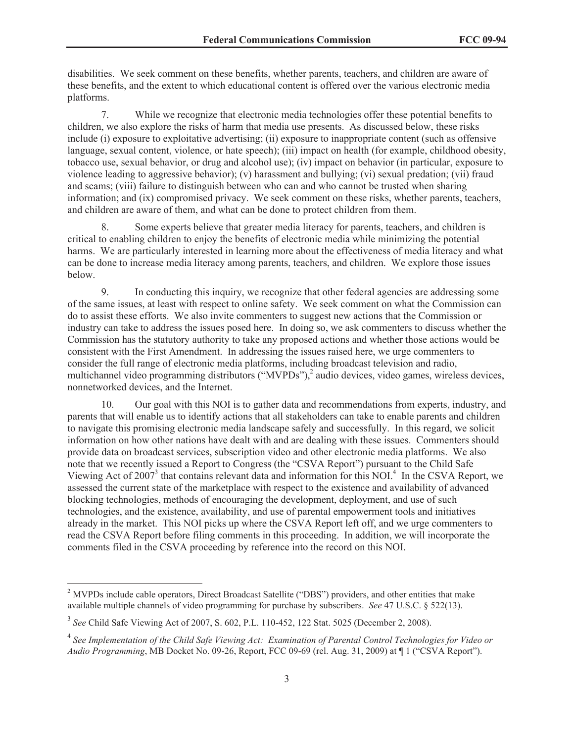disabilities. We seek comment on these benefits, whether parents, teachers, and children are aware of these benefits, and the extent to which educational content is offered over the various electronic media platforms.

7. While we recognize that electronic media technologies offer these potential benefits to children, we also explore the risks of harm that media use presents. As discussed below, these risks include (i) exposure to exploitative advertising; (ii) exposure to inappropriate content (such as offensive language, sexual content, violence, or hate speech); (iii) impact on health (for example, childhood obesity, tobacco use, sexual behavior, or drug and alcohol use); (iv) impact on behavior (in particular, exposure to violence leading to aggressive behavior); (v) harassment and bullying; (vi) sexual predation; (vii) fraud and scams; (viii) failure to distinguish between who can and who cannot be trusted when sharing information; and (ix) compromised privacy. We seek comment on these risks, whether parents, teachers, and children are aware of them, and what can be done to protect children from them.

8. Some experts believe that greater media literacy for parents, teachers, and children is critical to enabling children to enjoy the benefits of electronic media while minimizing the potential harms. We are particularly interested in learning more about the effectiveness of media literacy and what can be done to increase media literacy among parents, teachers, and children. We explore those issues below.

9. In conducting this inquiry, we recognize that other federal agencies are addressing some of the same issues, at least with respect to online safety. We seek comment on what the Commission can do to assist these efforts. We also invite commenters to suggest new actions that the Commission or industry can take to address the issues posed here. In doing so, we ask commenters to discuss whether the Commission has the statutory authority to take any proposed actions and whether those actions would be consistent with the First Amendment. In addressing the issues raised here, we urge commenters to consider the full range of electronic media platforms, including broadcast television and radio, multichannel video programming distributors ("MVPDs"),<sup>2</sup> audio devices, video games, wireless devices, nonnetworked devices, and the Internet.

10. Our goal with this NOI is to gather data and recommendations from experts, industry, and parents that will enable us to identify actions that all stakeholders can take to enable parents and children to navigate this promising electronic media landscape safely and successfully. In this regard, we solicit information on how other nations have dealt with and are dealing with these issues. Commenters should provide data on broadcast services, subscription video and other electronic media platforms. We also note that we recently issued a Report to Congress (the "CSVA Report") pursuant to the Child Safe Viewing Act of 2007<sup>3</sup> that contains relevant data and information for this NOI.<sup>4</sup> In the CSVA Report, we assessed the current state of the marketplace with respect to the existence and availability of advanced blocking technologies, methods of encouraging the development, deployment, and use of such technologies, and the existence, availability, and use of parental empowerment tools and initiatives already in the market. This NOI picks up where the CSVA Report left off, and we urge commenters to read the CSVA Report before filing comments in this proceeding. In addition, we will incorporate the comments filed in the CSVA proceeding by reference into the record on this NOI.

<sup>&</sup>lt;sup>2</sup> MVPDs include cable operators, Direct Broadcast Satellite ("DBS") providers, and other entities that make available multiple channels of video programming for purchase by subscribers. *See* 47 U.S.C. § 522(13).

<sup>3</sup> *See* Child Safe Viewing Act of 2007, S. 602, P.L. 110-452, 122 Stat. 5025 (December 2, 2008).

<sup>&</sup>lt;sup>4</sup> See Implementation of the Child Safe Viewing Act: Examination of Parental Control Technologies for Video or *Audio Programming*, MB Docket No. 09-26, Report, FCC 09-69 (rel. Aug. 31, 2009) at ¶ 1 ("CSVA Report").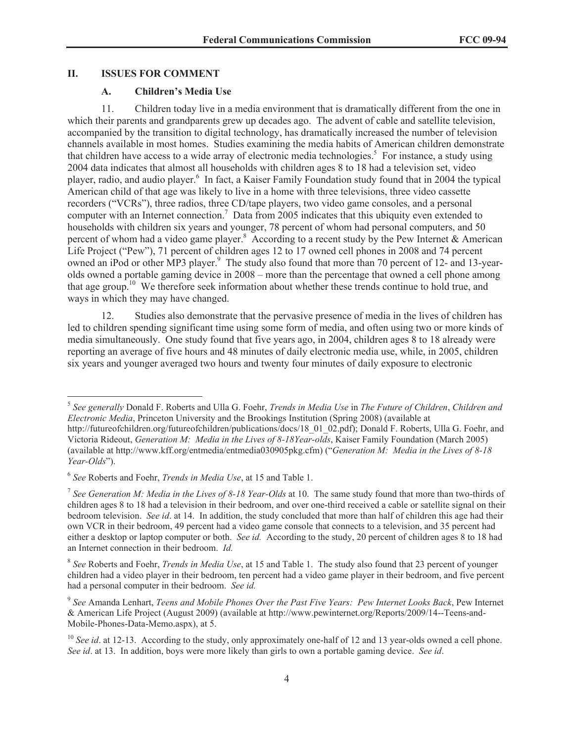## **II. ISSUES FOR COMMENT**

## **A. Children's Media Use**

11. Children today live in a media environment that is dramatically different from the one in which their parents and grandparents grew up decades ago. The advent of cable and satellite television, accompanied by the transition to digital technology, has dramatically increased the number of television channels available in most homes. Studies examining the media habits of American children demonstrate that children have access to a wide array of electronic media technologies.<sup>5</sup> For instance, a study using 2004 data indicates that almost all households with children ages 8 to 18 had a television set, video player, radio, and audio player.<sup>6</sup> In fact, a Kaiser Family Foundation study found that in 2004 the typical American child of that age was likely to live in a home with three televisions, three video cassette recorders ("VCRs"), three radios, three CD/tape players, two video game consoles, and a personal computer with an Internet connection.<sup>7</sup> Data from 2005 indicates that this ubiquity even extended to households with children six years and younger, 78 percent of whom had personal computers, and 50 percent of whom had a video game player.<sup>8</sup> According to a recent study by the Pew Internet & American Life Project ("Pew"), 71 percent of children ages 12 to 17 owned cell phones in 2008 and 74 percent owned an iPod or other MP3 player.<sup>9</sup> The study also found that more than 70 percent of 12- and 13-yearolds owned a portable gaming device in 2008 – more than the percentage that owned a cell phone among that age group.<sup>10</sup> We therefore seek information about whether these trends continue to hold true, and ways in which they may have changed.

12. Studies also demonstrate that the pervasive presence of media in the lives of children has led to children spending significant time using some form of media, and often using two or more kinds of media simultaneously. One study found that five years ago, in 2004, children ages 8 to 18 already were reporting an average of five hours and 48 minutes of daily electronic media use, while, in 2005, children six years and younger averaged two hours and twenty four minutes of daily exposure to electronic

<sup>5</sup> *See generally* Donald F. Roberts and Ulla G. Foehr, *Trends in Media Use* in *The Future of Children*, *Children and Electronic Media*, Princeton University and the Brookings Institution (Spring 2008) (available at http://futureofchildren.org/futureofchildren/publications/docs/18\_01\_02.pdf); Donald F. Roberts, Ulla G. Foehr, and Victoria Rideout, *Generation M: Media in the Lives of 8-18Year-olds*, Kaiser Family Foundation (March 2005) (available at http://www.kff.org/entmedia/entmedia030905pkg.cfm) ("*Generation M: Media in the Lives of 8-18 Year-Olds*").

<sup>6</sup> *See* Roberts and Foehr, *Trends in Media Use*, at 15 and Table 1.

<sup>&</sup>lt;sup>7</sup> See Generation M: Media in the Lives of 8-18 Year-Olds at 10. The same study found that more than two-thirds of children ages 8 to 18 had a television in their bedroom, and over one-third received a cable or satellite signal on their bedroom television. *See id*. at 14. In addition, the study concluded that more than half of children this age had their own VCR in their bedroom, 49 percent had a video game console that connects to a television, and 35 percent had either a desktop or laptop computer or both. *See id.* According to the study, 20 percent of children ages 8 to 18 had an Internet connection in their bedroom. *Id.*

<sup>8</sup> *See* Roberts and Foehr, *Trends in Media Use*, at 15 and Table 1. The study also found that 23 percent of younger children had a video player in their bedroom, ten percent had a video game player in their bedroom, and five percent had a personal computer in their bedroom. *See id.*

<sup>9</sup> *See* Amanda Lenhart, *Teens and Mobile Phones Over the Past Five Years: Pew Internet Looks Back*, Pew Internet & American Life Project (August 2009) (available at http://www.pewinternet.org/Reports/2009/14--Teens-and-Mobile-Phones-Data-Memo.aspx), at 5.

<sup>&</sup>lt;sup>10</sup> *See id.* at 12-13. According to the study, only approximately one-half of 12 and 13 year-olds owned a cell phone. *See id*. at 13. In addition, boys were more likely than girls to own a portable gaming device. *See id*.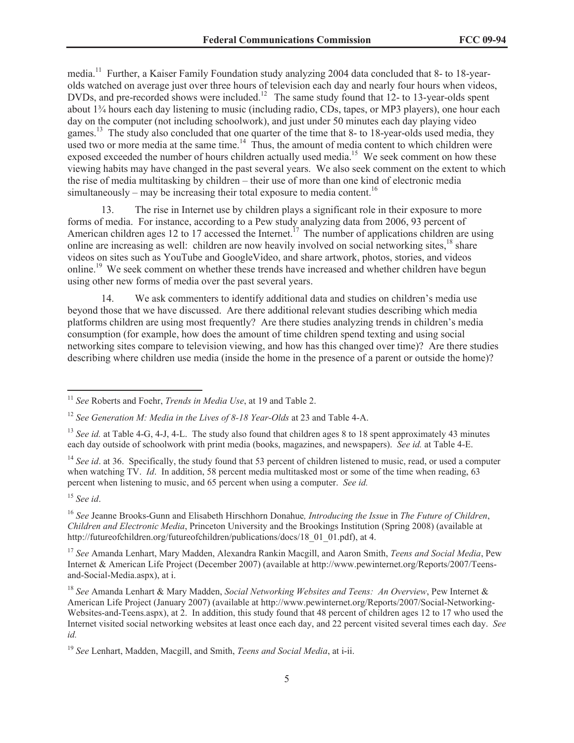media.<sup>11</sup> Further, a Kaiser Family Foundation study analyzing 2004 data concluded that 8- to 18-yearolds watched on average just over three hours of television each day and nearly four hours when videos, DVDs, and pre-recorded shows were included.<sup>12</sup> The same study found that 12- to 13-year-olds spent about 1¾ hours each day listening to music (including radio, CDs, tapes, or MP3 players), one hour each day on the computer (not including schoolwork), and just under 50 minutes each day playing video games.<sup>13</sup> The study also concluded that one quarter of the time that 8- to 18-year-olds used media, they used two or more media at the same time.<sup>14</sup> Thus, the amount of media content to which children were exposed exceeded the number of hours children actually used media.<sup>15</sup> We seek comment on how these viewing habits may have changed in the past several years. We also seek comment on the extent to which the rise of media multitasking by children – their use of more than one kind of electronic media simultaneously – may be increasing their total exposure to media content.<sup>16</sup>

13. The rise in Internet use by children plays a significant role in their exposure to more forms of media. For instance, according to a Pew study analyzing data from 2006, 93 percent of American children ages 12 to 17 accessed the Internet.<sup>17</sup> The number of applications children are using online are increasing as well: children are now heavily involved on social networking sites,<sup>18</sup> share videos on sites such as YouTube and GoogleVideo, and share artwork, photos, stories, and videos online.<sup>19</sup> We seek comment on whether these trends have increased and whether children have begun using other new forms of media over the past several years.

14. We ask commenters to identify additional data and studies on children's media use beyond those that we have discussed. Are there additional relevant studies describing which media platforms children are using most frequently? Are there studies analyzing trends in children's media consumption (for example, how does the amount of time children spend texting and using social networking sites compare to television viewing, and how has this changed over time)? Are there studies describing where children use media (inside the home in the presence of a parent or outside the home)?

<sup>15</sup> *See id*.

<sup>16</sup> *See* Jeanne Brooks-Gunn and Elisabeth Hirschhorn Donahue*, Introducing the Issue* in *The Future of Children*, *Children and Electronic Media*, Princeton University and the Brookings Institution (Spring 2008) (available at http://futureofchildren.org/futureofchildren/publications/docs/18\_01\_01.pdf), at 4.

<sup>17</sup> *See* Amanda Lenhart, Mary Madden, Alexandra Rankin Macgill, and Aaron Smith, *Teens and Social Media*, Pew Internet & American Life Project (December 2007) (available at http://www.pewinternet.org/Reports/2007/Teensand-Social-Media.aspx), at i.

<sup>18</sup> *See* Amanda Lenhart & Mary Madden, *Social Networking Websites and Teens: An Overview*, Pew Internet & American Life Project (January 2007) (available at http://www.pewinternet.org/Reports/2007/Social-Networking-Websites-and-Teens.aspx), at 2. In addition, this study found that 48 percent of children ages 12 to 17 who used the Internet visited social networking websites at least once each day, and 22 percent visited several times each day. *See id.*

<sup>11</sup> *See* Roberts and Foehr, *Trends in Media Use*, at 19 and Table 2.

<sup>&</sup>lt;sup>12</sup> See Generation M: Media in the Lives of 8-18 Year-Olds at 23 and Table 4-A.

<sup>&</sup>lt;sup>13</sup> *See id.* at Table 4-G, 4-J, 4-L. The study also found that children ages 8 to 18 spent approximately 43 minutes each day outside of schoolwork with print media (books, magazines, and newspapers). *See id.* at Table 4-E.

<sup>&</sup>lt;sup>14</sup> *See id.* at 36. Specifically, the study found that 53 percent of children listened to music, read, or used a computer when watching TV. *Id*. In addition, 58 percent media multitasked most or some of the time when reading, 63 percent when listening to music, and 65 percent when using a computer. *See id.*

<sup>19</sup> *See* Lenhart, Madden, Macgill, and Smith, *Teens and Social Media*, at i-ii.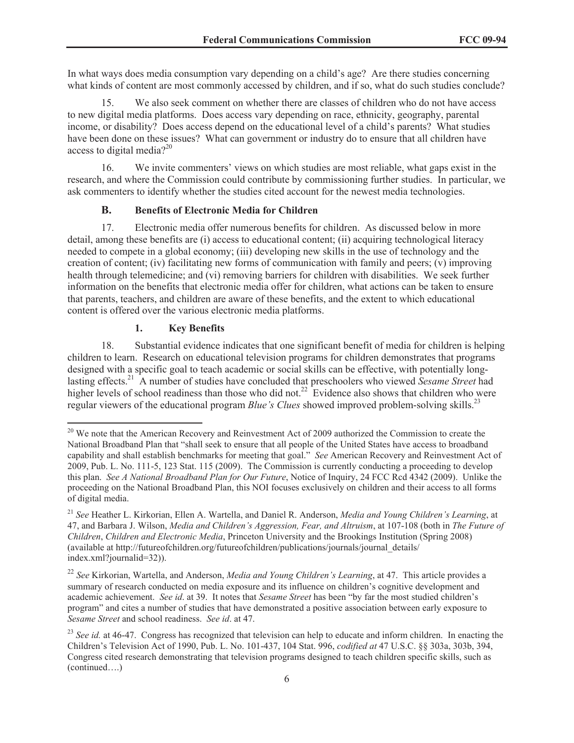In what ways does media consumption vary depending on a child's age? Are there studies concerning what kinds of content are most commonly accessed by children, and if so, what do such studies conclude?

15. We also seek comment on whether there are classes of children who do not have access to new digital media platforms. Does access vary depending on race, ethnicity, geography, parental income, or disability? Does access depend on the educational level of a child's parents? What studies have been done on these issues? What can government or industry do to ensure that all children have access to digital media? $2^{20}$ 

16. We invite commenters' views on which studies are most reliable, what gaps exist in the research, and where the Commission could contribute by commissioning further studies. In particular, we ask commenters to identify whether the studies cited account for the newest media technologies.

## **B. Benefits of Electronic Media for Children**

17. Electronic media offer numerous benefits for children. As discussed below in more detail, among these benefits are (i) access to educational content; (ii) acquiring technological literacy needed to compete in a global economy; (iii) developing new skills in the use of technology and the creation of content; (iv) facilitating new forms of communication with family and peers; (v) improving health through telemedicine; and (vi) removing barriers for children with disabilities. We seek further information on the benefits that electronic media offer for children, what actions can be taken to ensure that parents, teachers, and children are aware of these benefits, and the extent to which educational content is offered over the various electronic media platforms.

## **1. Key Benefits**

18. Substantial evidence indicates that one significant benefit of media for children is helping children to learn. Research on educational television programs for children demonstrates that programs designed with a specific goal to teach academic or social skills can be effective, with potentially longlasting effects.<sup>21</sup> A number of studies have concluded that preschoolers who viewed *Sesame Street* had higher levels of school readiness than those who did not.<sup>22</sup> Evidence also shows that children who were regular viewers of the educational program *Blue's Clues* showed improved problem-solving skills.<sup>23</sup>

<sup>&</sup>lt;sup>20</sup> We note that the American Recovery and Reinvestment Act of 2009 authorized the Commission to create the National Broadband Plan that "shall seek to ensure that all people of the United States have access to broadband capability and shall establish benchmarks for meeting that goal." *See* American Recovery and Reinvestment Act of 2009, Pub. L. No. 111-5, 123 Stat. 115 (2009). The Commission is currently conducting a proceeding to develop this plan. *See A National Broadband Plan for Our Future*, Notice of Inquiry, 24 FCC Rcd 4342 (2009). Unlike the proceeding on the National Broadband Plan, this NOI focuses exclusively on children and their access to all forms of digital media.

<sup>21</sup> *See* Heather L. Kirkorian, Ellen A. Wartella, and Daniel R. Anderson, *Media and Young Children's Learning*, at 47, and Barbara J. Wilson, *Media and Children's Aggression, Fear, and Altruism*, at 107-108 (both in *The Future of Children*, *Children and Electronic Media*, Princeton University and the Brookings Institution (Spring 2008) (available at http://futureofchildren.org/futureofchildren/publications/journals/journal\_details/ index.xml?journalid=32)).

<sup>22</sup> *See* Kirkorian, Wartella, and Anderson, *Media and Young Children's Learning*, at 47. This article provides a summary of research conducted on media exposure and its influence on children's cognitive development and academic achievement. *See id*. at 39. It notes that *Sesame Street* has been "by far the most studied children's program" and cites a number of studies that have demonstrated a positive association between early exposure to *Sesame Street* and school readiness. *See id*. at 47.

<sup>&</sup>lt;sup>23</sup> See *id.* at 46-47. Congress has recognized that television can help to educate and inform children. In enacting the Children's Television Act of 1990, Pub. L. No. 101-437, 104 Stat. 996, *codified at* 47 U.S.C. §§ 303a, 303b, 394, Congress cited research demonstrating that television programs designed to teach children specific skills, such as (continued….)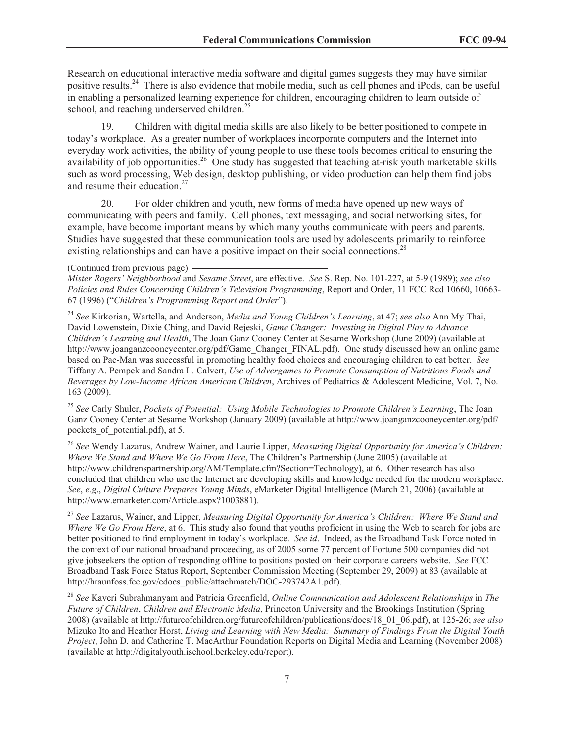Research on educational interactive media software and digital games suggests they may have similar positive results.<sup>24</sup> There is also evidence that mobile media, such as cell phones and iPods, can be useful in enabling a personalized learning experience for children, encouraging children to learn outside of school, and reaching underserved children.<sup>25</sup>

19. Children with digital media skills are also likely to be better positioned to compete in today's workplace. As a greater number of workplaces incorporate computers and the Internet into everyday work activities, the ability of young people to use these tools becomes critical to ensuring the availability of job opportunities.<sup>26</sup> One study has suggested that teaching at-risk youth marketable skills such as word processing, Web design, desktop publishing, or video production can help them find jobs and resume their education.<sup>27</sup>

20. For older children and youth, new forms of media have opened up new ways of communicating with peers and family. Cell phones, text messaging, and social networking sites, for example, have become important means by which many youths communicate with peers and parents. Studies have suggested that these communication tools are used by adolescents primarily to reinforce existing relationships and can have a positive impact on their social connections.<sup>28</sup>

#### (Continued from previous page)

*Mister Rogers' Neighborhood* and *Sesame Street*, are effective. *See* S. Rep. No. 101-227, at 5-9 (1989); *see also Policies and Rules Concerning Children's Television Programming*, Report and Order, 11 FCC Rcd 10660, 10663- 67 (1996) ("*Children's Programming Report and Order*").

<sup>24</sup> *See* Kirkorian, Wartella, and Anderson, *Media and Young Children's Learning*, at 47; *see also* Ann My Thai, David Lowenstein, Dixie Ching, and David Rejeski, *Game Changer: Investing in Digital Play to Advance Children's Learning and Health*, The Joan Ganz Cooney Center at Sesame Workshop (June 2009) (available at http://www.joanganzcooneycenter.org/pdf/Game\_Changer\_FINAL.pdf). One study discussed how an online game based on Pac-Man was successful in promoting healthy food choices and encouraging children to eat better. *See* Tiffany A. Pempek and Sandra L. Calvert, *Use of Advergames to Promote Consumption of Nutritious Foods and Beverages by Low-Income African American Children*, Archives of Pediatrics & Adolescent Medicine, Vol. 7, No. 163 (2009).

<sup>25</sup> *See* Carly Shuler, *Pockets of Potential: Using Mobile Technologies to Promote Children's Learning*, The Joan Ganz Cooney Center at Sesame Workshop (January 2009) (available at http://www.joanganzcooneycenter.org/pdf/ pockets of potential.pdf), at 5.

<sup>26</sup> *See* Wendy Lazarus, Andrew Wainer, and Laurie Lipper, *Measuring Digital Opportunity for America's Children: Where We Stand and Where We Go From Here*, The Children's Partnership (June 2005) (available at http://www.childrenspartnership.org/AM/Template.cfm?Section=Technology), at 6. Other research has also concluded that children who use the Internet are developing skills and knowledge needed for the modern workplace. *See*, *e.g*., *Digital Culture Prepares Young Minds*, eMarketer Digital Intelligence (March 21, 2006) (available at http://www.emarketer.com/Article.aspx?1003881).

<sup>27</sup> *See* Lazarus, Wainer, and Lipper*, Measuring Digital Opportunity for America's Children: Where We Stand and Where We Go From Here*, at 6. This study also found that youths proficient in using the Web to search for jobs are better positioned to find employment in today's workplace. *See id*. Indeed, as the Broadband Task Force noted in the context of our national broadband proceeding, as of 2005 some 77 percent of Fortune 500 companies did not give jobseekers the option of responding offline to positions posted on their corporate careers website. *See* FCC Broadband Task Force Status Report, September Commission Meeting (September 29, 2009) at 83 (available at http://hraunfoss.fcc.gov/edocs\_public/attachmatch/DOC-293742A1.pdf).

<sup>28</sup> *See* Kaveri Subrahmanyam and Patricia Greenfield, *Online Communication and Adolescent Relationships* in *The Future of Children*, *Children and Electronic Media*, Princeton University and the Brookings Institution (Spring 2008) (available at http://futureofchildren.org/futureofchildren/publications/docs/18\_01\_06.pdf), at 125-26; *see also* Mizuko Ito and Heather Horst, *Living and Learning with New Media: Summary of Findings From the Digital Youth Project*, John D. and Catherine T. MacArthur Foundation Reports on Digital Media and Learning (November 2008) (available at http://digitalyouth.ischool.berkeley.edu/report).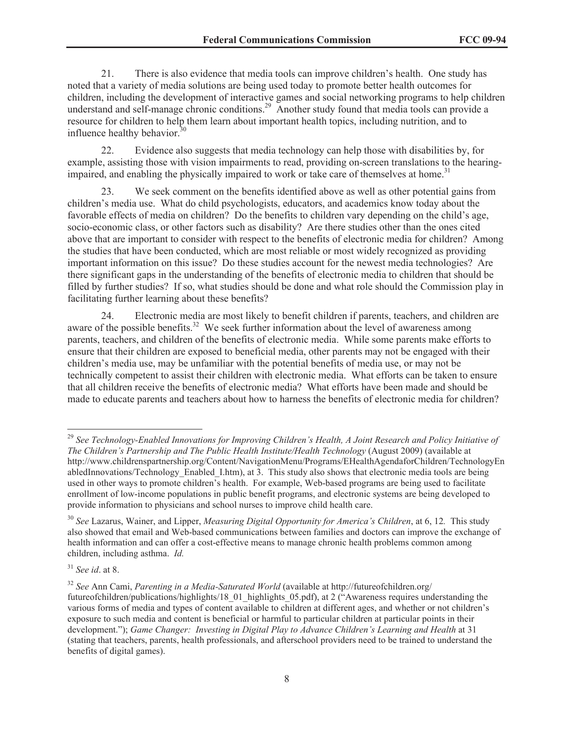21. There is also evidence that media tools can improve children's health. One study has noted that a variety of media solutions are being used today to promote better health outcomes for children, including the development of interactive games and social networking programs to help children understand and self-manage chronic conditions.<sup>29</sup> Another study found that media tools can provide a resource for children to help them learn about important health topics, including nutrition, and to influence healthy behavior. $30$ 

22. Evidence also suggests that media technology can help those with disabilities by, for example, assisting those with vision impairments to read, providing on-screen translations to the hearingimpaired, and enabling the physically impaired to work or take care of themselves at home.<sup>31</sup>

23. We seek comment on the benefits identified above as well as other potential gains from children's media use. What do child psychologists, educators, and academics know today about the favorable effects of media on children? Do the benefits to children vary depending on the child's age, socio-economic class, or other factors such as disability? Are there studies other than the ones cited above that are important to consider with respect to the benefits of electronic media for children? Among the studies that have been conducted, which are most reliable or most widely recognized as providing important information on this issue? Do these studies account for the newest media technologies? Are there significant gaps in the understanding of the benefits of electronic media to children that should be filled by further studies? If so, what studies should be done and what role should the Commission play in facilitating further learning about these benefits?

24. Electronic media are most likely to benefit children if parents, teachers, and children are aware of the possible benefits.<sup>32</sup> We seek further information about the level of awareness among parents, teachers, and children of the benefits of electronic media. While some parents make efforts to ensure that their children are exposed to beneficial media, other parents may not be engaged with their children's media use, may be unfamiliar with the potential benefits of media use, or may not be technically competent to assist their children with electronic media. What efforts can be taken to ensure that all children receive the benefits of electronic media? What efforts have been made and should be made to educate parents and teachers about how to harness the benefits of electronic media for children?

<sup>29</sup> *See Technology-Enabled Innovations for Improving Children's Health, A Joint Research and Policy Initiative of The Children's Partnership and The Public Health Institute/Health Technology* (August 2009) (available at http://www.childrenspartnership.org/Content/NavigationMenu/Programs/EHealthAgendaforChildren/TechnologyEn abledInnovations/Technology\_Enabled\_I.htm), at 3. This study also shows that electronic media tools are being used in other ways to promote children's health. For example, Web-based programs are being used to facilitate enrollment of low-income populations in public benefit programs, and electronic systems are being developed to provide information to physicians and school nurses to improve child health care.

<sup>30</sup> *See* Lazarus, Wainer, and Lipper, *Measuring Digital Opportunity for America's Children*, at 6, 12*.* This study also showed that email and Web-based communications between families and doctors can improve the exchange of health information and can offer a cost-effective means to manage chronic health problems common among children, including asthma. *Id.*

<sup>31</sup> *See id*. at 8.

<sup>32</sup> *See* Ann Cami, *Parenting in a Media-Saturated World* (available at http://futureofchildren.org/ futureofchildren/publications/highlights/18\_01\_highlights\_05.pdf), at 2 ("Awareness requires understanding the various forms of media and types of content available to children at different ages, and whether or not children's exposure to such media and content is beneficial or harmful to particular children at particular points in their development."); *Game Changer: Investing in Digital Play to Advance Children's Learning and Health* at 31 (stating that teachers, parents, health professionals, and afterschool providers need to be trained to understand the benefits of digital games).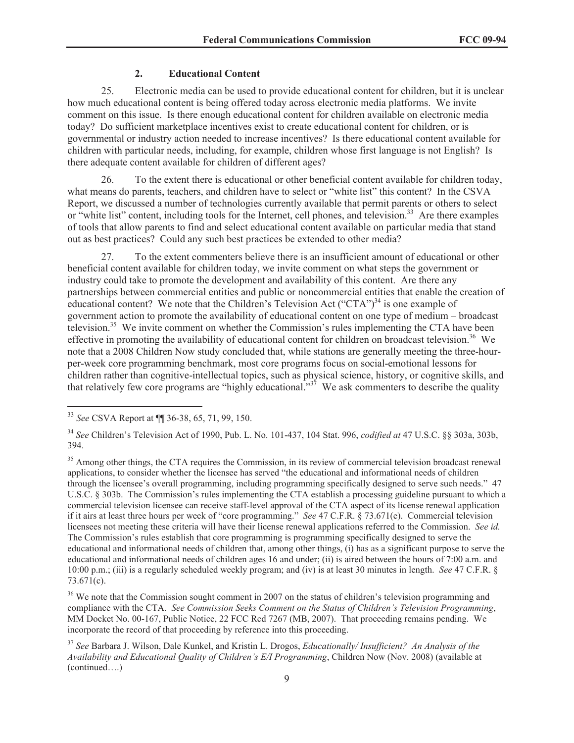## **2. Educational Content**

25. Electronic media can be used to provide educational content for children, but it is unclear how much educational content is being offered today across electronic media platforms. We invite comment on this issue. Is there enough educational content for children available on electronic media today? Do sufficient marketplace incentives exist to create educational content for children, or is governmental or industry action needed to increase incentives? Is there educational content available for children with particular needs, including, for example, children whose first language is not English? Is there adequate content available for children of different ages?

26. To the extent there is educational or other beneficial content available for children today, what means do parents, teachers, and children have to select or "white list" this content? In the CSVA Report, we discussed a number of technologies currently available that permit parents or others to select or "white list" content, including tools for the Internet, cell phones, and television.<sup>33</sup> Are there examples of tools that allow parents to find and select educational content available on particular media that stand out as best practices? Could any such best practices be extended to other media?

27. To the extent commenters believe there is an insufficient amount of educational or other beneficial content available for children today, we invite comment on what steps the government or industry could take to promote the development and availability of this content. Are there any partnerships between commercial entities and public or noncommercial entities that enable the creation of educational content? We note that the Children's Television Act ("CTA")<sup>34</sup> is one example of government action to promote the availability of educational content on one type of medium – broadcast television.<sup>35</sup> We invite comment on whether the Commission's rules implementing the CTA have been effective in promoting the availability of educational content for children on broadcast television.<sup>36</sup> We note that a 2008 Children Now study concluded that, while stations are generally meeting the three-hourper-week core programming benchmark, most core programs focus on social-emotional lessons for children rather than cognitive-intellectual topics, such as physical science, history, or cognitive skills, and that relatively few core programs are "highly educational." $37$  We ask commenters to describe the quality

<sup>36</sup> We note that the Commission sought comment in 2007 on the status of children's television programming and compliance with the CTA. *See Commission Seeks Comment on the Status of Children's Television Programming*, MM Docket No. 00-167, Public Notice, 22 FCC Rcd 7267 (MB, 2007). That proceeding remains pending. We incorporate the record of that proceeding by reference into this proceeding.

<sup>33</sup> *See* CSVA Report at ¶¶ 36-38, 65, 71, 99, 150.

<sup>34</sup> *See* Children's Television Act of 1990, Pub. L. No. 101-437, 104 Stat. 996, *codified at* 47 U.S.C. §§ 303a, 303b, 394.

<sup>&</sup>lt;sup>35</sup> Among other things, the CTA requires the Commission, in its review of commercial television broadcast renewal applications, to consider whether the licensee has served "the educational and informational needs of children through the licensee's overall programming, including programming specifically designed to serve such needs." 47 U.S.C. § 303b. The Commission's rules implementing the CTA establish a processing guideline pursuant to which a commercial television licensee can receive staff-level approval of the CTA aspect of its license renewal application if it airs at least three hours per week of "core programming." *See* 47 C.F.R. § 73.671(e). Commercial television licensees not meeting these criteria will have their license renewal applications referred to the Commission. *See id.* The Commission's rules establish that core programming is programming specifically designed to serve the educational and informational needs of children that, among other things, (i) has as a significant purpose to serve the educational and informational needs of children ages 16 and under; (ii) is aired between the hours of 7:00 a.m. and 10:00 p.m.; (iii) is a regularly scheduled weekly program; and (iv) is at least 30 minutes in length. *See* 47 C.F.R. § 73.671(c).

<sup>37</sup> *See* Barbara J. Wilson, Dale Kunkel, and Kristin L. Drogos, *Educationally/ Insufficient? An Analysis of the Availability and Educational Quality of Children's E/I Programming*, Children Now (Nov. 2008) (available at (continued….)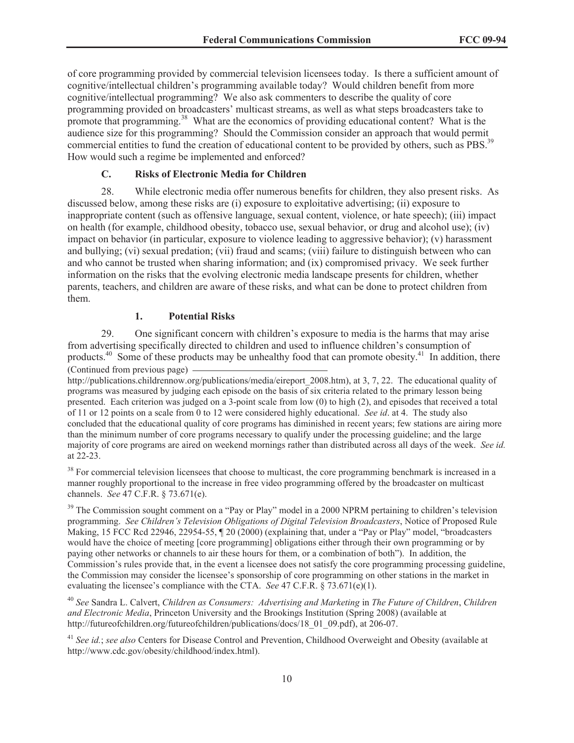of core programming provided by commercial television licensees today. Is there a sufficient amount of cognitive/intellectual children's programming available today? Would children benefit from more cognitive/intellectual programming? We also ask commenters to describe the quality of core programming provided on broadcasters' multicast streams, as well as what steps broadcasters take to promote that programming.<sup>38</sup> What are the economics of providing educational content? What is the audience size for this programming? Should the Commission consider an approach that would permit commercial entities to fund the creation of educational content to be provided by others, such as PBS.<sup>39</sup> How would such a regime be implemented and enforced?

## **C. Risks of Electronic Media for Children**

28. While electronic media offer numerous benefits for children, they also present risks. As discussed below, among these risks are (i) exposure to exploitative advertising; (ii) exposure to inappropriate content (such as offensive language, sexual content, violence, or hate speech); (iii) impact on health (for example, childhood obesity, tobacco use, sexual behavior, or drug and alcohol use); (iv) impact on behavior (in particular, exposure to violence leading to aggressive behavior); (v) harassment and bullying; (vi) sexual predation; (vii) fraud and scams; (viii) failure to distinguish between who can and who cannot be trusted when sharing information; and (ix) compromised privacy. We seek further information on the risks that the evolving electronic media landscape presents for children, whether parents, teachers, and children are aware of these risks, and what can be done to protect children from them.

## **1. Potential Risks**

29. One significant concern with children's exposure to media is the harms that may arise from advertising specifically directed to children and used to influence children's consumption of products.<sup>40</sup> Some of these products may be unhealthy food that can promote obesity.<sup>41</sup> In addition, there (Continued from previous page)

http://publications.childrennow.org/publications/media/eireport\_2008.htm), at 3, 7, 22. The educational quality of programs was measured by judging each episode on the basis of six criteria related to the primary lesson being presented. Each criterion was judged on a 3-point scale from low (0) to high (2), and episodes that received a total of 11 or 12 points on a scale from 0 to 12 were considered highly educational. *See id*. at 4. The study also concluded that the educational quality of core programs has diminished in recent years; few stations are airing more than the minimum number of core programs necessary to qualify under the processing guideline; and the large majority of core programs are aired on weekend mornings rather than distributed across all days of the week. *See id.*  at 22-23.

<sup>38</sup> For commercial television licensees that choose to multicast, the core programming benchmark is increased in a manner roughly proportional to the increase in free video programming offered by the broadcaster on multicast channels. *See* 47 C.F.R. § 73.671(e).

<sup>39</sup> The Commission sought comment on a "Pay or Play" model in a 2000 NPRM pertaining to children's television programming. *See Children's Television Obligations of Digital Television Broadcasters*, Notice of Proposed Rule Making, 15 FCC Rcd 22946, 22954-55, ¶ 20 (2000) (explaining that, under a "Pay or Play" model, "broadcasters would have the choice of meeting [core programming] obligations either through their own programming or by paying other networks or channels to air these hours for them, or a combination of both"). In addition, the Commission's rules provide that, in the event a licensee does not satisfy the core programming processing guideline, the Commission may consider the licensee's sponsorship of core programming on other stations in the market in evaluating the licensee's compliance with the CTA. *See* 47 C.F.R. § 73.671(e)(1).

<sup>40</sup> *See* Sandra L. Calvert, *Children as Consumers: Advertising and Marketing* in *The Future of Children*, *Children and Electronic Media*, Princeton University and the Brookings Institution (Spring 2008) (available at http://futureofchildren.org/futureofchildren/publications/docs/18\_01\_09.pdf), at 206-07.

<sup>41</sup> *See id.*; *see also* Centers for Disease Control and Prevention, Childhood Overweight and Obesity (available at http://www.cdc.gov/obesity/childhood/index.html).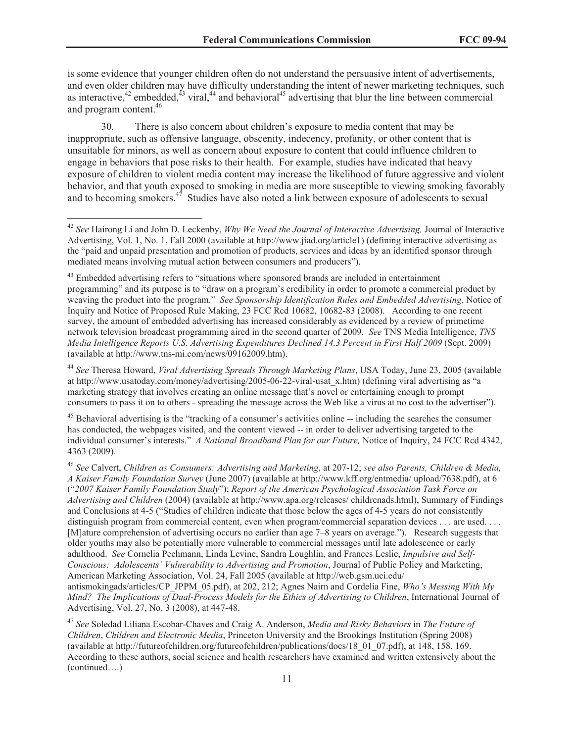is some evidence that younger children often do not understand the persuasive intent of advertisements, and even older children may have difficulty understanding the intent of newer marketing techniques, such as interactive,<sup>42</sup> embedded,<sup>43</sup> viral,<sup>44</sup> and behavioral<sup>45</sup> advertising that blur the line between commercial and program content.<sup>46</sup>

30. There is also concern about children's exposure to media content that may be inappropriate, such as offensive language, obscenity, indecency, profanity, or other content that is unsuitable for minors, as well as concern about exposure to content that could influence children to engage in behaviors that pose risks to their health. For example, studies have indicated that heavy exposure of children to violent media content may increase the likelihood of future aggressive and violent behavior, and that youth exposed to smoking in media are more susceptible to viewing smoking favorably and to becoming smokers. $47$  Studies have also noted a link between exposure of adolescents to sexual

<sup>44</sup> *See* Theresa Howard, *Viral Advertising Spreads Through Marketing Plans*, USA Today, June 23, 2005 (available at http://www.usatoday.com/money/advertising/2005-06-22-viral-usat\_x.htm) (defining viral advertising as "a marketing strategy that involves creating an online message that's novel or entertaining enough to prompt consumers to pass it on to others - spreading the message across the Web like a virus at no cost to the advertiser").

<sup>45</sup> Behavioral advertising is the "tracking of a consumer's activities online -- including the searches the consumer has conducted, the webpages visited, and the content viewed -- in order to deliver advertising targeted to the individual consumer's interests." *A National Broadband Plan for our Future,* Notice of Inquiry, 24 FCC Rcd 4342, 4363 (2009).

<sup>42</sup> *See* Hairong Li and John D. Leckenby, *Why We Need the Journal of Interactive Advertising,* Journal of Interactive Advertising, Vol. 1, No. 1, Fall 2000 (available at http://www.jiad.org/article1) (defining interactive advertising as the "paid and unpaid presentation and promotion of products, services and ideas by an identified sponsor through mediated means involving mutual action between consumers and producers").

<sup>&</sup>lt;sup>43</sup> Embedded advertising refers to "situations where sponsored brands are included in entertainment programming" and its purpose is to "draw on a program's credibility in order to promote a commercial product by weaving the product into the program." *See Sponsorship Identification Rules and Embedded Advertising*, Notice of Inquiry and Notice of Proposed Rule Making, 23 FCC Rcd 10682, 10682-83 (2008). According to one recent survey, the amount of embedded advertising has increased considerably as evidenced by a review of primetime network television broadcast programming aired in the second quarter of 2009. *See* TNS Media Intelligence, *TNS Media Intelligence Reports U.S. Advertising Expenditures Declined 14.3 Percent in First Half 2009* (Sept. 2009) (available at http://www.tns-mi.com/news/09162009.htm).

<sup>46</sup> *See* Calvert, *Children as Consumers: Advertising and Marketing*, at 207-12; *see also Parents, Children & Media, A Kaiser Family Foundation Survey* (June 2007) (available at http://www.kff.org/entmedia/ upload/7638.pdf), at 6 ("*2007 Kaiser Family Foundation Study*"); *Report of the American Psychological Association Task Force on Advertising and Children* (2004) (available at http://www.apa.org/releases/ childrenads.html), Summary of Findings and Conclusions at 4-5 ("Studies of children indicate that those below the ages of 4-5 years do not consistently distinguish program from commercial content, even when program/commercial separation devices . . . are used. . . . [M]ature comprehension of advertising occurs no earlier than age 7–8 years on average."). Research suggests that older youths may also be potentially more vulnerable to commercial messages until late adolescence or early adulthood. *See* Cornelia Pechmann, Linda Levine, Sandra Loughlin, and Frances Leslie, *Impulsive and Self-Conscious: Adolescents' Vulnerability to Advertising and Promotion*, Journal of Public Policy and Marketing, American Marketing Association, Vol. 24, Fall 2005 (available at http://web.gsm.uci.edu/ antismokingads/articles/CP\_JPPM\_05.pdf), at 202, 212; Agnes Nairn and Cordelia Fine, *Who's Messing With My Mind? The Implications of Dual-Process Models for the Ethics of Advertising to Children*, International Journal of Advertising, Vol. 27, No. 3 (2008), at 447-48.

<sup>47</sup> *See* Soledad Liliana Escobar-Chaves and Craig A. Anderson, *Media and Risky Behaviors* in *The Future of Children*, *Children and Electronic Media*, Princeton University and the Brookings Institution (Spring 2008) (available at http://futureofchildren.org/futureofchildren/publications/docs/18\_01\_07.pdf), at 148, 158, 169. According to these authors, social science and health researchers have examined and written extensively about the (continued….)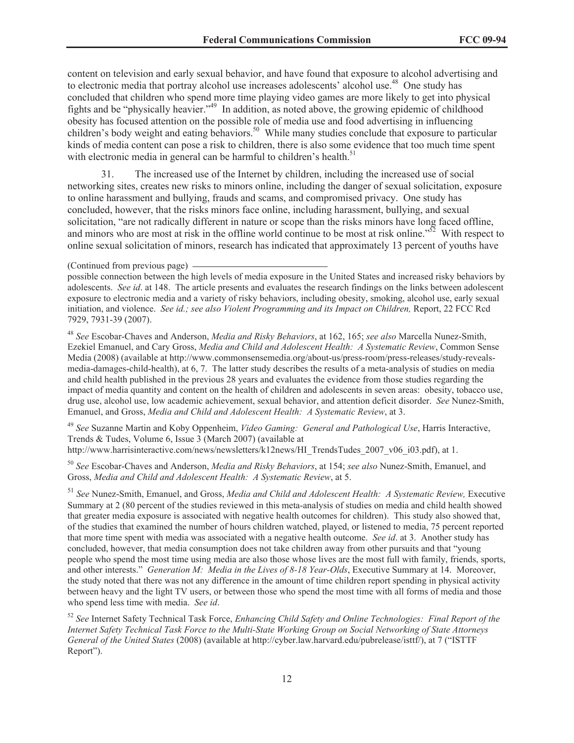content on television and early sexual behavior, and have found that exposure to alcohol advertising and to electronic media that portray alcohol use increases adolescents' alcohol use.<sup>48</sup> One study has concluded that children who spend more time playing video games are more likely to get into physical fights and be "physically heavier."<sup>49</sup> In addition, as noted above, the growing epidemic of childhood obesity has focused attention on the possible role of media use and food advertising in influencing children's body weight and eating behaviors.<sup>50</sup> While many studies conclude that exposure to particular kinds of media content can pose a risk to children, there is also some evidence that too much time spent with electronic media in general can be harmful to children's health. $51$ 

31. The increased use of the Internet by children, including the increased use of social networking sites, creates new risks to minors online, including the danger of sexual solicitation, exposure to online harassment and bullying, frauds and scams, and compromised privacy. One study has concluded, however, that the risks minors face online, including harassment, bullying, and sexual solicitation, "are not radically different in nature or scope than the risks minors have long faced offline, and minors who are most at risk in the offline world continue to be most at risk online."<sup>52</sup> With respect to online sexual solicitation of minors, research has indicated that approximately 13 percent of youths have

(Continued from previous page)

possible connection between the high levels of media exposure in the United States and increased risky behaviors by adolescents. *See id*. at 148. The article presents and evaluates the research findings on the links between adolescent exposure to electronic media and a variety of risky behaviors, including obesity, smoking, alcohol use, early sexual initiation, and violence. *See id.; see also Violent Programming and its Impact on Children,* Report, 22 FCC Rcd 7929, 7931-39 (2007).

<sup>48</sup> *See* Escobar-Chaves and Anderson, *Media and Risky Behaviors*, at 162, 165; *see also* Marcella Nunez-Smith, Ezekiel Emanuel, and Cary Gross, *Media and Child and Adolescent Health: A Systematic Review*, Common Sense Media (2008) (available at http://www.commonsensemedia.org/about-us/press-room/press-releases/study-revealsmedia-damages-child-health), at 6, 7. The latter study describes the results of a meta-analysis of studies on media and child health published in the previous 28 years and evaluates the evidence from those studies regarding the impact of media quantity and content on the health of children and adolescents in seven areas: obesity, tobacco use, drug use, alcohol use, low academic achievement, sexual behavior, and attention deficit disorder. *See* Nunez-Smith, Emanuel, and Gross, *Media and Child and Adolescent Health: A Systematic Review*, at 3.

<sup>49</sup> *See* Suzanne Martin and Koby Oppenheim, *Video Gaming: General and Pathological Use*, Harris Interactive, Trends & Tudes, Volume 6, Issue 3 (March 2007) (available at http://www.harrisinteractive.com/news/newsletters/k12news/HI\_TrendsTudes\_2007\_v06\_i03.pdf), at 1.

<sup>50</sup> *See* Escobar-Chaves and Anderson, *Media and Risky Behaviors*, at 154; *see also* Nunez-Smith, Emanuel, and Gross, *Media and Child and Adolescent Health: A Systematic Review*, at 5.

<sup>51</sup> See Nunez-Smith, Emanuel, and Gross, *Media and Child and Adolescent Health: A Systematic Review, Executive* Summary at 2 (80 percent of the studies reviewed in this meta-analysis of studies on media and child health showed that greater media exposure is associated with negative health outcomes for children). This study also showed that, of the studies that examined the number of hours children watched, played, or listened to media, 75 percent reported that more time spent with media was associated with a negative health outcome. *See id*. at 3. Another study has concluded, however, that media consumption does not take children away from other pursuits and that "young people who spend the most time using media are also those whose lives are the most full with family, friends, sports, and other interests." *Generation M: Media in the Lives of 8-18 Year-Olds*, Executive Summary at 14. Moreover, the study noted that there was not any difference in the amount of time children report spending in physical activity between heavy and the light TV users, or between those who spend the most time with all forms of media and those who spend less time with media. *See id*.

<sup>52</sup> *See* Internet Safety Technical Task Force, *Enhancing Child Safety and Online Technologies: Final Report of the Internet Safety Technical Task Force to the Multi-State Working Group on Social Networking of State Attorneys General of the United States* (2008) (available at http://cyber.law.harvard.edu/pubrelease/isttf/), at 7 ("ISTTF Report").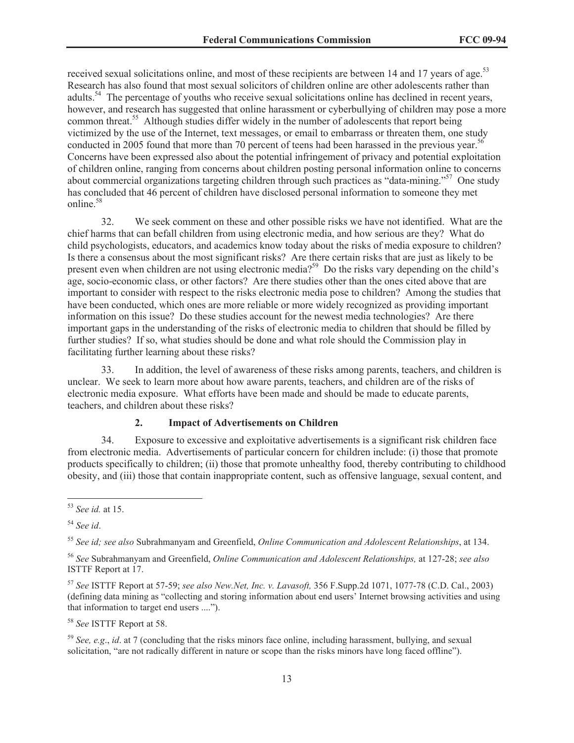received sexual solicitations online, and most of these recipients are between 14 and 17 years of age.<sup>53</sup> Research has also found that most sexual solicitors of children online are other adolescents rather than adults.<sup>54</sup> The percentage of youths who receive sexual solicitations online has declined in recent years, however, and research has suggested that online harassment or cyberbullying of children may pose a more common threat.<sup>55</sup> Although studies differ widely in the number of adolescents that report being victimized by the use of the Internet, text messages, or email to embarrass or threaten them, one study conducted in 2005 found that more than 70 percent of teens had been harassed in the previous year.<sup>56</sup> Concerns have been expressed also about the potential infringement of privacy and potential exploitation of children online, ranging from concerns about children posting personal information online to concerns about commercial organizations targeting children through such practices as "data-mining."<sup>57</sup> One study has concluded that 46 percent of children have disclosed personal information to someone they met online<sup>58</sup>

32. We seek comment on these and other possible risks we have not identified. What are the chief harms that can befall children from using electronic media, and how serious are they? What do child psychologists, educators, and academics know today about the risks of media exposure to children? Is there a consensus about the most significant risks? Are there certain risks that are just as likely to be present even when children are not using electronic media?<sup>59</sup> Do the risks vary depending on the child's age, socio-economic class, or other factors? Are there studies other than the ones cited above that are important to consider with respect to the risks electronic media pose to children? Among the studies that have been conducted, which ones are more reliable or more widely recognized as providing important information on this issue? Do these studies account for the newest media technologies? Are there important gaps in the understanding of the risks of electronic media to children that should be filled by further studies? If so, what studies should be done and what role should the Commission play in facilitating further learning about these risks?

33. In addition, the level of awareness of these risks among parents, teachers, and children is unclear. We seek to learn more about how aware parents, teachers, and children are of the risks of electronic media exposure. What efforts have been made and should be made to educate parents, teachers, and children about these risks?

## **2. Impact of Advertisements on Children**

34. Exposure to excessive and exploitative advertisements is a significant risk children face from electronic media. Advertisements of particular concern for children include: (i) those that promote products specifically to children; (ii) those that promote unhealthy food, thereby contributing to childhood obesity, and (iii) those that contain inappropriate content, such as offensive language, sexual content, and

<sup>58</sup> *See* ISTTF Report at 58.

<sup>59</sup> *See, e.g*., *id*. at 7 (concluding that the risks minors face online, including harassment, bullying, and sexual solicitation, "are not radically different in nature or scope than the risks minors have long faced offline").

<sup>53</sup> *See id.* at 15.

<sup>54</sup> *See id*.

<sup>55</sup> *See id; see also* Subrahmanyam and Greenfield, *Online Communication and Adolescent Relationships*, at 134.

<sup>56</sup> *See* Subrahmanyam and Greenfield, *Online Communication and Adolescent Relationships,* at 127-28; *see also*  ISTTF Report at 17.

<sup>57</sup> *See* ISTTF Report at 57-59; *see also New.Net, Inc. v. Lavasoft,* 356 F.Supp.2d 1071, 1077-78 (C.D. Cal., 2003) (defining data mining as "collecting and storing information about end users' Internet browsing activities and using that information to target end users ....").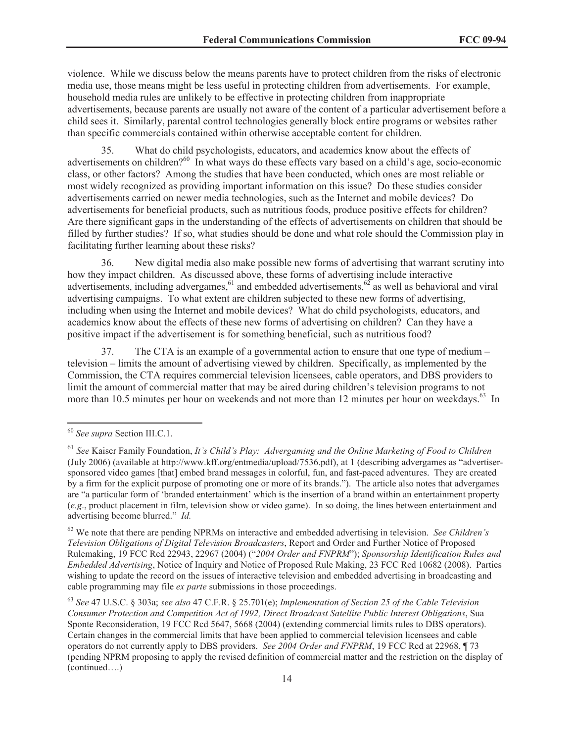violence. While we discuss below the means parents have to protect children from the risks of electronic media use, those means might be less useful in protecting children from advertisements. For example, household media rules are unlikely to be effective in protecting children from inappropriate advertisements, because parents are usually not aware of the content of a particular advertisement before a child sees it. Similarly, parental control technologies generally block entire programs or websites rather than specific commercials contained within otherwise acceptable content for children.

35. What do child psychologists, educators, and academics know about the effects of advertisements on children?<sup>60</sup> In what ways do these effects vary based on a child's age, socio-economic class, or other factors? Among the studies that have been conducted, which ones are most reliable or most widely recognized as providing important information on this issue? Do these studies consider advertisements carried on newer media technologies, such as the Internet and mobile devices? Do advertisements for beneficial products, such as nutritious foods, produce positive effects for children? Are there significant gaps in the understanding of the effects of advertisements on children that should be filled by further studies? If so, what studies should be done and what role should the Commission play in facilitating further learning about these risks?

36. New digital media also make possible new forms of advertising that warrant scrutiny into how they impact children. As discussed above, these forms of advertising include interactive advertisements, including advergames,<sup>61</sup> and embedded advertisements,<sup>62</sup> as well as behavioral and viral advertising campaigns. To what extent are children subjected to these new forms of advertising, including when using the Internet and mobile devices? What do child psychologists, educators, and academics know about the effects of these new forms of advertising on children? Can they have a positive impact if the advertisement is for something beneficial, such as nutritious food?

37. The CTA is an example of a governmental action to ensure that one type of medium – television – limits the amount of advertising viewed by children. Specifically, as implemented by the Commission, the CTA requires commercial television licensees, cable operators, and DBS providers to limit the amount of commercial matter that may be aired during children's television programs to not more than 10.5 minutes per hour on weekends and not more than 12 minutes per hour on weekdays.<sup>63</sup> In

<sup>60</sup> *See supra* Section III.C.1.

<sup>61</sup> *See* Kaiser Family Foundation, *It's Child's Play: Advergaming and the Online Marketing of Food to Children* (July 2006) (available at http://www.kff.org/entmedia/upload/7536.pdf), at 1 (describing advergames as "advertisersponsored video games [that] embed brand messages in colorful, fun, and fast-paced adventures. They are created by a firm for the explicit purpose of promoting one or more of its brands."). The article also notes that advergames are "a particular form of 'branded entertainment' which is the insertion of a brand within an entertainment property (*e.g*., product placement in film, television show or video game). In so doing, the lines between entertainment and advertising become blurred." *Id.*

<sup>62</sup> We note that there are pending NPRMs on interactive and embedded advertising in television. *See Children's Television Obligations of Digital Television Broadcasters*, Report and Order and Further Notice of Proposed Rulemaking, 19 FCC Rcd 22943, 22967 (2004) ("*2004 Order and FNPRM*"); *Sponsorship Identification Rules and Embedded Advertising*, Notice of Inquiry and Notice of Proposed Rule Making, 23 FCC Rcd 10682 (2008). Parties wishing to update the record on the issues of interactive television and embedded advertising in broadcasting and cable programming may file *ex parte* submissions in those proceedings.

<sup>63</sup> *See* 47 U.S.C. § 303a; *see also* 47 C.F.R. § 25.701(e); *Implementation of Section 25 of the Cable Television Consumer Protection and Competition Act of 1992, Direct Broadcast Satellite Public Interest Obligations*, Sua Sponte Reconsideration, 19 FCC Rcd 5647, 5668 (2004) (extending commercial limits rules to DBS operators). Certain changes in the commercial limits that have been applied to commercial television licensees and cable operators do not currently apply to DBS providers. *See 2004 Order and FNPRM*, 19 FCC Rcd at 22968, ¶ 73 (pending NPRM proposing to apply the revised definition of commercial matter and the restriction on the display of (continued….)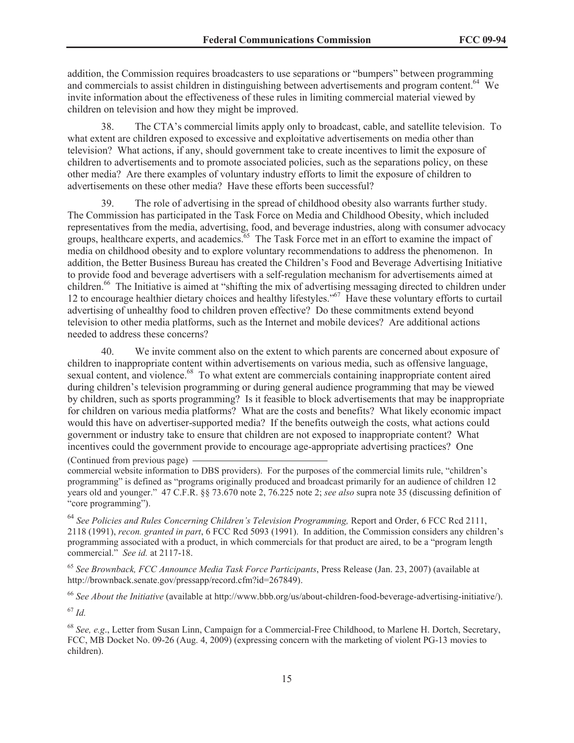addition, the Commission requires broadcasters to use separations or "bumpers" between programming and commercials to assist children in distinguishing between advertisements and program content.<sup>64</sup> We invite information about the effectiveness of these rules in limiting commercial material viewed by children on television and how they might be improved.

38. The CTA's commercial limits apply only to broadcast, cable, and satellite television. To what extent are children exposed to excessive and exploitative advertisements on media other than television? What actions, if any, should government take to create incentives to limit the exposure of children to advertisements and to promote associated policies, such as the separations policy, on these other media? Are there examples of voluntary industry efforts to limit the exposure of children to advertisements on these other media? Have these efforts been successful?

39. The role of advertising in the spread of childhood obesity also warrants further study. The Commission has participated in the Task Force on Media and Childhood Obesity, which included representatives from the media, advertising, food, and beverage industries, along with consumer advocacy groups, healthcare experts, and academics.<sup>65</sup> The Task Force met in an effort to examine the impact of media on childhood obesity and to explore voluntary recommendations to address the phenomenon. In addition, the Better Business Bureau has created the Children's Food and Beverage Advertising Initiative to provide food and beverage advertisers with a self-regulation mechanism for advertisements aimed at children.<sup>66</sup> The Initiative is aimed at "shifting the mix of advertising messaging directed to children under 12 to encourage healthier dietary choices and healthy lifestyles."<sup>67</sup> Have these voluntary efforts to curtail advertising of unhealthy food to children proven effective? Do these commitments extend beyond television to other media platforms, such as the Internet and mobile devices? Are additional actions needed to address these concerns?

40. We invite comment also on the extent to which parents are concerned about exposure of children to inappropriate content within advertisements on various media, such as offensive language, sexual content, and violence.<sup>68</sup> To what extent are commercials containing inappropriate content aired during children's television programming or during general audience programming that may be viewed by children, such as sports programming? Is it feasible to block advertisements that may be inappropriate for children on various media platforms? What are the costs and benefits? What likely economic impact would this have on advertiser-supported media? If the benefits outweigh the costs, what actions could government or industry take to ensure that children are not exposed to inappropriate content? What incentives could the government provide to encourage age-appropriate advertising practices? One (Continued from previous page)

commercial website information to DBS providers). For the purposes of the commercial limits rule, "children's programming" is defined as "programs originally produced and broadcast primarily for an audience of children 12 years old and younger." 47 C.F.R. §§ 73.670 note 2, 76.225 note 2; *see also* supra note 35 (discussing definition of "core programming").

<sup>64</sup> *See Policies and Rules Concerning Children's Television Programming,* Report and Order, 6 FCC Rcd 2111, 2118 (1991), *recon. granted in part*, 6 FCC Rcd 5093 (1991). In addition, the Commission considers any children's programming associated with a product, in which commercials for that product are aired, to be a "program length commercial." *See id.* at 2117-18.

<sup>65</sup> *See Brownback, FCC Announce Media Task Force Participants*, Press Release (Jan. 23, 2007) (available at http://brownback.senate.gov/pressapp/record.cfm?id=267849).

<sup>66</sup> *See About the Initiative* (available at http://www.bbb.org/us/about-children-food-beverage-advertising-initiative/).

<sup>67</sup> *Id.*

<sup>68</sup> *See, e.g*., Letter from Susan Linn, Campaign for a Commercial-Free Childhood, to Marlene H. Dortch, Secretary, FCC, MB Docket No. 09-26 (Aug. 4, 2009) (expressing concern with the marketing of violent PG-13 movies to children).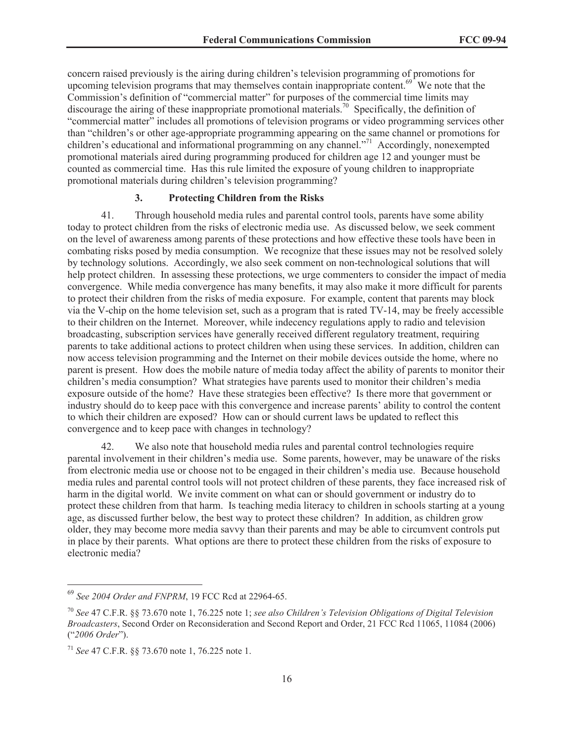concern raised previously is the airing during children's television programming of promotions for upcoming television programs that may themselves contain inappropriate content.<sup> $69$ </sup> We note that the Commission's definition of "commercial matter" for purposes of the commercial time limits may discourage the airing of these inappropriate promotional materials.<sup>70</sup> Specifically, the definition of "commercial matter" includes all promotions of television programs or video programming services other than "children's or other age-appropriate programming appearing on the same channel or promotions for children's educational and informational programming on any channel."<sup>71</sup> Accordingly, nonexempted promotional materials aired during programming produced for children age 12 and younger must be counted as commercial time. Has this rule limited the exposure of young children to inappropriate promotional materials during children's television programming?

## **3. Protecting Children from the Risks**

41. Through household media rules and parental control tools, parents have some ability today to protect children from the risks of electronic media use. As discussed below, we seek comment on the level of awareness among parents of these protections and how effective these tools have been in combating risks posed by media consumption. We recognize that these issues may not be resolved solely by technology solutions. Accordingly, we also seek comment on non-technological solutions that will help protect children. In assessing these protections, we urge commenters to consider the impact of media convergence. While media convergence has many benefits, it may also make it more difficult for parents to protect their children from the risks of media exposure. For example, content that parents may block via the V-chip on the home television set, such as a program that is rated TV-14, may be freely accessible to their children on the Internet. Moreover, while indecency regulations apply to radio and television broadcasting, subscription services have generally received different regulatory treatment, requiring parents to take additional actions to protect children when using these services. In addition, children can now access television programming and the Internet on their mobile devices outside the home, where no parent is present. How does the mobile nature of media today affect the ability of parents to monitor their children's media consumption? What strategies have parents used to monitor their children's media exposure outside of the home? Have these strategies been effective? Is there more that government or industry should do to keep pace with this convergence and increase parents' ability to control the content to which their children are exposed? How can or should current laws be updated to reflect this convergence and to keep pace with changes in technology?

42. We also note that household media rules and parental control technologies require parental involvement in their children's media use. Some parents, however, may be unaware of the risks from electronic media use or choose not to be engaged in their children's media use. Because household media rules and parental control tools will not protect children of these parents, they face increased risk of harm in the digital world. We invite comment on what can or should government or industry do to protect these children from that harm. Is teaching media literacy to children in schools starting at a young age, as discussed further below, the best way to protect these children? In addition, as children grow older, they may become more media savvy than their parents and may be able to circumvent controls put in place by their parents. What options are there to protect these children from the risks of exposure to electronic media?

<sup>69</sup> *See 2004 Order and FNPRM*, 19 FCC Rcd at 22964-65.

<sup>70</sup> *See* 47 C.F.R. §§ 73.670 note 1, 76.225 note 1; *see also Children's Television Obligations of Digital Television Broadcasters*, Second Order on Reconsideration and Second Report and Order, 21 FCC Rcd 11065, 11084 (2006) ("*2006 Order*").

<sup>71</sup> *See* 47 C.F.R. §§ 73.670 note 1, 76.225 note 1.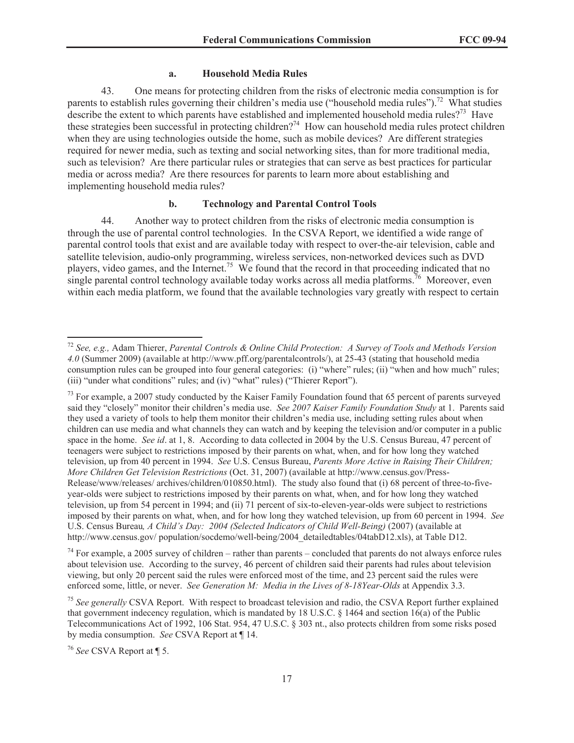#### **a. Household Media Rules**

43. One means for protecting children from the risks of electronic media consumption is for parents to establish rules governing their children's media use ("household media rules").<sup>72</sup> What studies describe the extent to which parents have established and implemented household media rules?<sup>73</sup> Have these strategies been successful in protecting children?<sup>74</sup> How can household media rules protect children when they are using technologies outside the home, such as mobile devices? Are different strategies required for newer media, such as texting and social networking sites, than for more traditional media, such as television? Are there particular rules or strategies that can serve as best practices for particular media or across media? Are there resources for parents to learn more about establishing and implementing household media rules?

### **b. Technology and Parental Control Tools**

44. Another way to protect children from the risks of electronic media consumption is through the use of parental control technologies. In the CSVA Report, we identified a wide range of parental control tools that exist and are available today with respect to over-the-air television, cable and satellite television, audio-only programming, wireless services, non-networked devices such as DVD players, video games, and the Internet.<sup>75</sup> We found that the record in that proceeding indicated that no single parental control technology available today works across all media platforms.<sup>76</sup> Moreover, even within each media platform, we found that the available technologies vary greatly with respect to certain

 $74$  For example, a 2005 survey of children – rather than parents – concluded that parents do not always enforce rules about television use. According to the survey, 46 percent of children said their parents had rules about television viewing, but only 20 percent said the rules were enforced most of the time, and 23 percent said the rules were enforced some, little, or never. *See Generation M: Media in the Lives of 8-18Year-Olds* at Appendix 3.3.

<sup>72</sup> *See, e.g.,* Adam Thierer, *Parental Controls & Online Child Protection: A Survey of Tools and Methods Version 4.0* (Summer 2009) (available at http://www.pff.org/parentalcontrols/), at 25-43 (stating that household media consumption rules can be grouped into four general categories: (i) "where" rules; (ii) "when and how much" rules; (iii) "under what conditions" rules; and (iv) "what" rules) ("Thierer Report").

<sup>&</sup>lt;sup>73</sup> For example, a 2007 study conducted by the Kaiser Family Foundation found that 65 percent of parents surveyed said they "closely" monitor their children's media use. *See 2007 Kaiser Family Foundation Study* at 1. Parents said they used a variety of tools to help them monitor their children's media use, including setting rules about when children can use media and what channels they can watch and by keeping the television and/or computer in a public space in the home. *See id*. at 1, 8. According to data collected in 2004 by the U.S. Census Bureau, 47 percent of teenagers were subject to restrictions imposed by their parents on what, when, and for how long they watched television, up from 40 percent in 1994. *See* U.S. Census Bureau, *Parents More Active in Raising Their Children; More Children Get Television Restrictions* (Oct. 31, 2007) (available at http://www.census.gov/Press-Release/www/releases/ archives/children/010850.html). The study also found that (i) 68 percent of three-to-fiveyear-olds were subject to restrictions imposed by their parents on what, when, and for how long they watched television, up from 54 percent in 1994; and (ii) 71 percent of six-to-eleven-year-olds were subject to restrictions imposed by their parents on what, when, and for how long they watched television, up from 60 percent in 1994. *See*  U.S. Census Bureau*, A Child's Day: 2004 (Selected Indicators of Child Well-Being)* (2007) (available at http://www.census.gov/ population/socdemo/well-being/2004\_detailedtables/04tabD12.xls), at Table D12.

<sup>75</sup> *See generally* CSVA Report. With respect to broadcast television and radio, the CSVA Report further explained that government indecency regulation, which is mandated by 18 U.S.C. § 1464 and section 16(a) of the Public Telecommunications Act of 1992, 106 Stat. 954, 47 U.S.C. § 303 nt., also protects children from some risks posed by media consumption. *See* CSVA Report at ¶ 14.

<sup>76</sup> *See* CSVA Report at ¶ 5.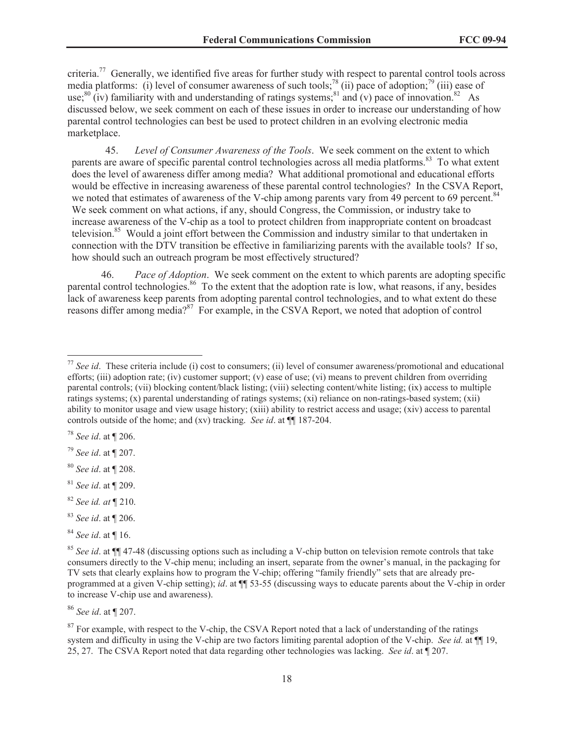criteria.<sup>77</sup> Generally, we identified five areas for further study with respect to parental control tools across media platforms: (i) level of consumer awareness of such tools;<sup>78</sup> (ii) pace of adoption;<sup>79</sup> (iii) ease of use;<sup>80</sup> (iv) familiarity with and understanding of ratings systems;<sup>81</sup> and (v) pace of innovation.<sup>82</sup> As discussed below, we seek comment on each of these issues in order to increase our understanding of how parental control technologies can best be used to protect children in an evolving electronic media marketplace.

45. *Level of Consumer Awareness of the Tools*. We seek comment on the extent to which parents are aware of specific parental control technologies across all media platforms.<sup>83</sup> To what extent does the level of awareness differ among media? What additional promotional and educational efforts would be effective in increasing awareness of these parental control technologies? In the CSVA Report, we noted that estimates of awareness of the V-chip among parents vary from 49 percent to 69 percent.<sup>84</sup> We seek comment on what actions, if any, should Congress, the Commission, or industry take to increase awareness of the V-chip as a tool to protect children from inappropriate content on broadcast television.<sup>85</sup> Would a joint effort between the Commission and industry similar to that undertaken in connection with the DTV transition be effective in familiarizing parents with the available tools? If so, how should such an outreach program be most effectively structured?

46. *Pace of Adoption*. We seek comment on the extent to which parents are adopting specific parental control technologies.<sup>86</sup> To the extent that the adoption rate is low, what reasons, if any, besides lack of awareness keep parents from adopting parental control technologies, and to what extent do these reasons differ among media?<sup>87</sup> For example, in the CSVA Report, we noted that adoption of control

<sup>80</sup> *See id*. at ¶ 208.

- <sup>83</sup> *See id*. at ¶ 206.
- <sup>84</sup> *See id*. at ¶ 16.

<sup>86</sup> *See id*. at ¶ 207.

<sup>77</sup> *See id*. These criteria include (i) cost to consumers; (ii) level of consumer awareness/promotional and educational efforts; (iii) adoption rate; (iv) customer support; (v) ease of use; (vi) means to prevent children from overriding parental controls; (vii) blocking content/black listing; (viii) selecting content/white listing; (ix) access to multiple ratings systems; (x) parental understanding of ratings systems; (xi) reliance on non-ratings-based system; (xii) ability to monitor usage and view usage history; (xiii) ability to restrict access and usage; (xiv) access to parental controls outside of the home; and (xv) tracking. *See id*. at ¶¶ 187-204.

<sup>78</sup> *See id*. at ¶ 206.

<sup>79</sup> *See id*. at ¶ 207.

<sup>81</sup> *See id*. at ¶ 209.

<sup>82</sup> *See id. at* ¶ 210.

<sup>85</sup> *See id*. at ¶¶ 47-48 (discussing options such as including a V-chip button on television remote controls that take consumers directly to the V-chip menu; including an insert, separate from the owner's manual, in the packaging for TV sets that clearly explains how to program the V-chip; offering "family friendly" sets that are already preprogrammed at a given V-chip setting); *id*. at ¶¶ 53-55 (discussing ways to educate parents about the V-chip in order to increase V-chip use and awareness).

<sup>&</sup>lt;sup>87</sup> For example, with respect to the V-chip, the CSVA Report noted that a lack of understanding of the ratings system and difficulty in using the V-chip are two factors limiting parental adoption of the V-chip. *See id.* at  $\P$  19, 25, 27. The CSVA Report noted that data regarding other technologies was lacking. *See id*. at ¶ 207.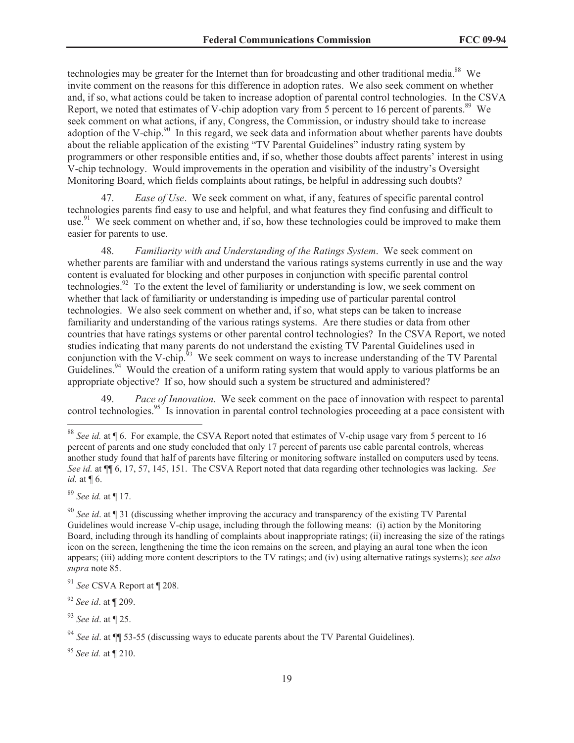technologies may be greater for the Internet than for broadcasting and other traditional media.<sup>88</sup> We invite comment on the reasons for this difference in adoption rates. We also seek comment on whether and, if so, what actions could be taken to increase adoption of parental control technologies. In the CSVA Report, we noted that estimates of V-chip adoption vary from 5 percent to 16 percent of parents.<sup>89</sup> We seek comment on what actions, if any, Congress, the Commission, or industry should take to increase adoption of the V-chip.<sup>90</sup> In this regard, we seek data and information about whether parents have doubts about the reliable application of the existing "TV Parental Guidelines" industry rating system by programmers or other responsible entities and, if so, whether those doubts affect parents' interest in using V-chip technology. Would improvements in the operation and visibility of the industry's Oversight Monitoring Board, which fields complaints about ratings, be helpful in addressing such doubts?

47. *Ease of Use*. We seek comment on what, if any, features of specific parental control technologies parents find easy to use and helpful, and what features they find confusing and difficult to use.<sup>91</sup> We seek comment on whether and, if so, how these technologies could be improved to make them easier for parents to use.

48. *Familiarity with and Understanding of the Ratings System*. We seek comment on whether parents are familiar with and understand the various ratings systems currently in use and the way content is evaluated for blocking and other purposes in conjunction with specific parental control technologies.<sup>92</sup> To the extent the level of familiarity or understanding is low, we seek comment on whether that lack of familiarity or understanding is impeding use of particular parental control technologies. We also seek comment on whether and, if so, what steps can be taken to increase familiarity and understanding of the various ratings systems. Are there studies or data from other countries that have ratings systems or other parental control technologies? In the CSVA Report, we noted studies indicating that many parents do not understand the existing TV Parental Guidelines used in conjunction with the V-chip.<sup>93</sup> We seek comment on ways to increase understanding of the TV Parental Guidelines.<sup>94</sup> Would the creation of a uniform rating system that would apply to various platforms be an appropriate objective? If so, how should such a system be structured and administered?

49. *Pace of Innovation*. We seek comment on the pace of innovation with respect to parental control technologies.<sup>95</sup> Is innovation in parental control technologies proceeding at a pace consistent with

<sup>89</sup> *See id.* at ¶ 17.

<sup>92</sup> *See id*. at ¶ 209.

<sup>93</sup> *See id*. at ¶ 25.

<sup>95</sup> *See id.* at ¶ 210.

<sup>&</sup>lt;sup>88</sup> *See id.* at ¶ 6. For example, the CSVA Report noted that estimates of V-chip usage vary from 5 percent to 16 percent of parents and one study concluded that only 17 percent of parents use cable parental controls, whereas another study found that half of parents have filtering or monitoring software installed on computers used by teens. *See id.* at ¶¶ 6, 17, 57, 145, 151. The CSVA Report noted that data regarding other technologies was lacking. *See id.* at ¶ 6.

<sup>90</sup> *See id*. at ¶ 31 (discussing whether improving the accuracy and transparency of the existing TV Parental Guidelines would increase V-chip usage, including through the following means: (i) action by the Monitoring Board, including through its handling of complaints about inappropriate ratings; (ii) increasing the size of the ratings icon on the screen, lengthening the time the icon remains on the screen, and playing an aural tone when the icon appears; (iii) adding more content descriptors to the TV ratings; and (iv) using alternative ratings systems); *see also supra* note 85.

<sup>91</sup> *See* CSVA Report at ¶ 208.

<sup>94</sup> *See id*. at ¶¶ 53-55 (discussing ways to educate parents about the TV Parental Guidelines).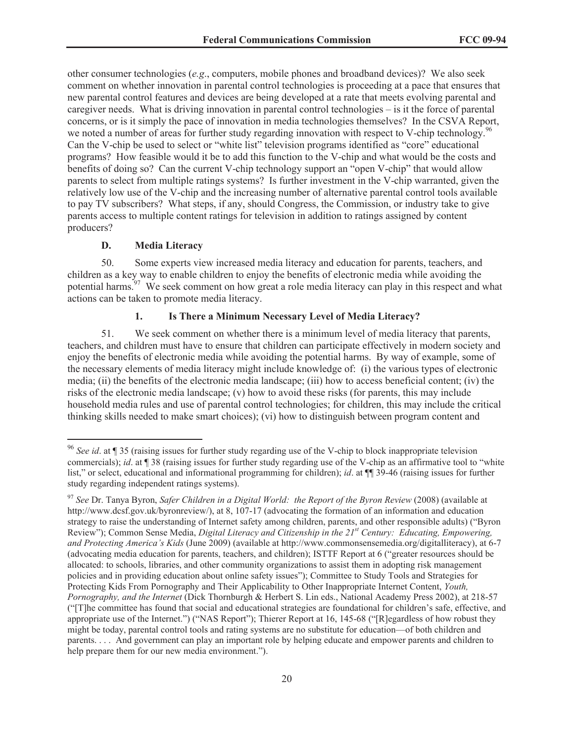other consumer technologies (*e.g*., computers, mobile phones and broadband devices)? We also seek comment on whether innovation in parental control technologies is proceeding at a pace that ensures that new parental control features and devices are being developed at a rate that meets evolving parental and caregiver needs. What is driving innovation in parental control technologies – is it the force of parental concerns, or is it simply the pace of innovation in media technologies themselves? In the CSVA Report, we noted a number of areas for further study regarding innovation with respect to V-chip technology.<sup>96</sup> Can the V-chip be used to select or "white list" television programs identified as "core" educational programs? How feasible would it be to add this function to the V-chip and what would be the costs and benefits of doing so? Can the current V-chip technology support an "open V-chip" that would allow parents to select from multiple ratings systems? Is further investment in the V-chip warranted, given the relatively low use of the V-chip and the increasing number of alternative parental control tools available to pay TV subscribers? What steps, if any, should Congress, the Commission, or industry take to give parents access to multiple content ratings for television in addition to ratings assigned by content producers?

#### **D. Media Literacy**

50. Some experts view increased media literacy and education for parents, teachers, and children as a key way to enable children to enjoy the benefits of electronic media while avoiding the potential harms.<sup>97</sup> We seek comment on how great a role media literacy can play in this respect and what actions can be taken to promote media literacy.

## **1. Is There a Minimum Necessary Level of Media Literacy?**

51. We seek comment on whether there is a minimum level of media literacy that parents, teachers, and children must have to ensure that children can participate effectively in modern society and enjoy the benefits of electronic media while avoiding the potential harms. By way of example, some of the necessary elements of media literacy might include knowledge of: (i) the various types of electronic media; (ii) the benefits of the electronic media landscape; (iii) how to access beneficial content; (iv) the risks of the electronic media landscape; (v) how to avoid these risks (for parents, this may include household media rules and use of parental control technologies; for children, this may include the critical thinking skills needed to make smart choices); (vi) how to distinguish between program content and

<sup>96</sup> *See id*. at ¶ 35 (raising issues for further study regarding use of the V-chip to block inappropriate television commercials); *id*. at ¶ 38 (raising issues for further study regarding use of the V-chip as an affirmative tool to "white list," or select, educational and informational programming for children); *id*. at ¶¶ 39-46 (raising issues for further study regarding independent ratings systems).

<sup>97</sup> *See* Dr. Tanya Byron, *Safer Children in a Digital World: the Report of the Byron Review* (2008) (available at http://www.dcsf.gov.uk/byronreview/), at 8, 107-17 (advocating the formation of an information and education strategy to raise the understanding of Internet safety among children, parents, and other responsible adults) ("Byron Review"); Common Sense Media, *Digital Literacy and Citizenship in the 21st Century: Educating, Empowering, and Protecting America's Kids* (June 2009) (available at http://www.commonsensemedia.org/digitalliteracy), at 6-7 (advocating media education for parents, teachers, and children); ISTTF Report at 6 ("greater resources should be allocated: to schools, libraries, and other community organizations to assist them in adopting risk management policies and in providing education about online safety issues"); Committee to Study Tools and Strategies for Protecting Kids From Pornography and Their Applicability to Other Inappropriate Internet Content, *Youth, Pornography, and the Internet* (Dick Thornburgh & Herbert S. Lin eds., National Academy Press 2002), at 218-57 ("[T]he committee has found that social and educational strategies are foundational for children's safe, effective, and appropriate use of the Internet.") ("NAS Report"); Thierer Report at 16, 145-68 ("[R]egardless of how robust they might be today, parental control tools and rating systems are no substitute for education—of both children and parents. . . . And government can play an important role by helping educate and empower parents and children to help prepare them for our new media environment.").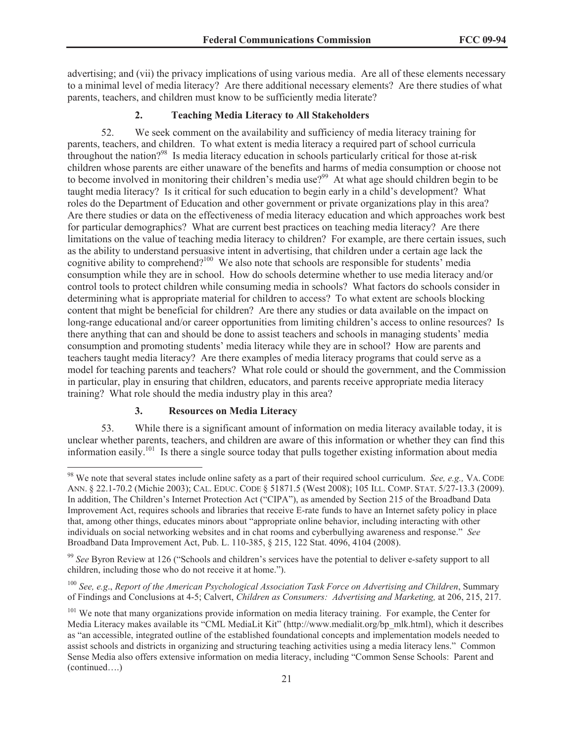advertising; and (vii) the privacy implications of using various media. Are all of these elements necessary to a minimal level of media literacy? Are there additional necessary elements? Are there studies of what parents, teachers, and children must know to be sufficiently media literate?

## **2. Teaching Media Literacy to All Stakeholders**

52. We seek comment on the availability and sufficiency of media literacy training for parents, teachers, and children. To what extent is media literacy a required part of school curricula throughout the nation?<sup>98</sup> Is media literacy education in schools particularly critical for those at-risk children whose parents are either unaware of the benefits and harms of media consumption or choose not to become involved in monitoring their children's media use?<sup>99</sup> At what age should children begin to be taught media literacy? Is it critical for such education to begin early in a child's development? What roles do the Department of Education and other government or private organizations play in this area? Are there studies or data on the effectiveness of media literacy education and which approaches work best for particular demographics? What are current best practices on teaching media literacy? Are there limitations on the value of teaching media literacy to children? For example, are there certain issues, such as the ability to understand persuasive intent in advertising, that children under a certain age lack the cognitive ability to comprehend?<sup>100</sup> We also note that schools are responsible for students' media consumption while they are in school. How do schools determine whether to use media literacy and/or control tools to protect children while consuming media in schools? What factors do schools consider in determining what is appropriate material for children to access? To what extent are schools blocking content that might be beneficial for children? Are there any studies or data available on the impact on long-range educational and/or career opportunities from limiting children's access to online resources? Is there anything that can and should be done to assist teachers and schools in managing students' media consumption and promoting students' media literacy while they are in school? How are parents and teachers taught media literacy? Are there examples of media literacy programs that could serve as a model for teaching parents and teachers? What role could or should the government, and the Commission in particular, play in ensuring that children, educators, and parents receive appropriate media literacy training? What role should the media industry play in this area?

## **3. Resources on Media Literacy**

53. While there is a significant amount of information on media literacy available today, it is unclear whether parents, teachers, and children are aware of this information or whether they can find this information easily.<sup>101</sup> Is there a single source today that pulls together existing information about media

<sup>98</sup> We note that several states include online safety as a part of their required school curriculum. *See, e.g.,* VA. CODE ANN. § 22.1-70.2 (Michie 2003); CAL. EDUC. CODE § 51871.5 (West 2008); 105 ILL. COMP. STAT. 5/27-13.3 (2009). In addition, The Children's Internet Protection Act ("CIPA"), as amended by Section 215 of the Broadband Data Improvement Act, requires schools and libraries that receive E-rate funds to have an Internet safety policy in place that, among other things, educates minors about "appropriate online behavior, including interacting with other individuals on social networking websites and in chat rooms and cyberbullying awareness and response." *See* Broadband Data Improvement Act, Pub. L. 110-385, § 215, 122 Stat. 4096, 4104 (2008).

<sup>99</sup> *See* Byron Review at 126 ("Schools and children's services have the potential to deliver e-safety support to all children, including those who do not receive it at home.").

<sup>100</sup> *See, e.g*., *Report of the American Psychological Association Task Force on Advertising and Children*, Summary of Findings and Conclusions at 4-5; Calvert, *Children as Consumers: Advertising and Marketing,* at 206, 215, 217.

<sup>&</sup>lt;sup>101</sup> We note that many organizations provide information on media literacy training. For example, the Center for Media Literacy makes available its "CML MediaLit Kit" (http://www.medialit.org/bp\_mlk.html), which it describes as "an accessible, integrated outline of the established foundational concepts and implementation models needed to assist schools and districts in organizing and structuring teaching activities using a media literacy lens." Common Sense Media also offers extensive information on media literacy, including "Common Sense Schools: Parent and (continued….)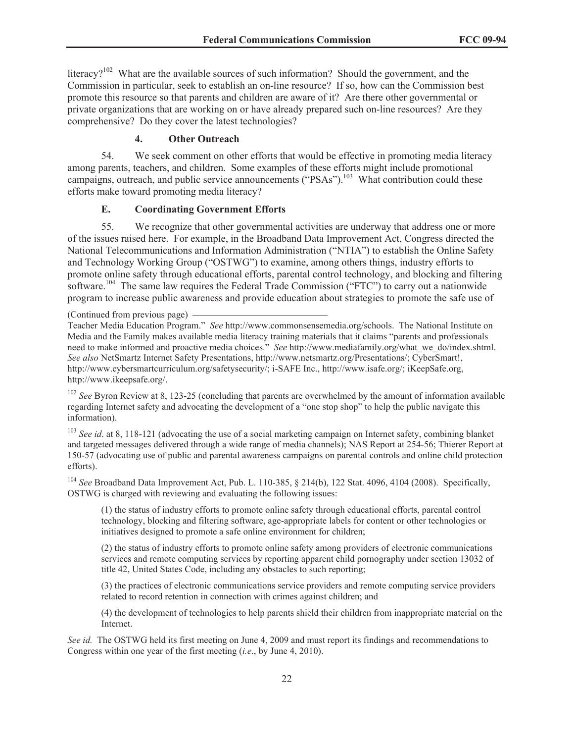literacy?<sup>102</sup> What are the available sources of such information? Should the government, and the Commission in particular, seek to establish an on-line resource? If so, how can the Commission best promote this resource so that parents and children are aware of it? Are there other governmental or private organizations that are working on or have already prepared such on-line resources? Are they comprehensive? Do they cover the latest technologies?

## **4. Other Outreach**

54. We seek comment on other efforts that would be effective in promoting media literacy among parents, teachers, and children. Some examples of these efforts might include promotional campaigns, outreach, and public service announcements ("PSAs").<sup>103</sup> What contribution could these efforts make toward promoting media literacy?

#### **E. Coordinating Government Efforts**

55. We recognize that other governmental activities are underway that address one or more of the issues raised here. For example, in the Broadband Data Improvement Act, Congress directed the National Telecommunications and Information Administration ("NTIA") to establish the Online Safety and Technology Working Group ("OSTWG") to examine, among others things, industry efforts to promote online safety through educational efforts, parental control technology, and blocking and filtering software.<sup>104</sup> The same law requires the Federal Trade Commission ("FTC") to carry out a nationwide program to increase public awareness and provide education about strategies to promote the safe use of

(Continued from previous page)

Teacher Media Education Program." *See* http://www.commonsensemedia.org/schools. The National Institute on Media and the Family makes available media literacy training materials that it claims "parents and professionals need to make informed and proactive media choices." *See* http://www.mediafamily.org/what\_we\_do/index.shtml. *See also* NetSmartz Internet Safety Presentations, http://www.netsmartz.org/Presentations/; CyberSmart!, http://www.cybersmartcurriculum.org/safetysecurity/; i-SAFE Inc., http://www.isafe.org/; iKeepSafe.org, http://www.ikeepsafe.org/.

<sup>102</sup> *See* Byron Review at 8, 123-25 (concluding that parents are overwhelmed by the amount of information available regarding Internet safety and advocating the development of a "one stop shop" to help the public navigate this information).

<sup>103</sup> *See id.* at 8, 118-121 (advocating the use of a social marketing campaign on Internet safety, combining blanket and targeted messages delivered through a wide range of media channels); NAS Report at 254-56; Thierer Report at 150-57 (advocating use of public and parental awareness campaigns on parental controls and online child protection efforts).

<sup>104</sup> *See* Broadband Data Improvement Act, Pub. L. 110-385, § 214(b), 122 Stat. 4096, 4104 (2008). Specifically, OSTWG is charged with reviewing and evaluating the following issues:

(1) the status of industry efforts to promote online safety through educational efforts, parental control technology, blocking and filtering software, age-appropriate labels for content or other technologies or initiatives designed to promote a safe online environment for children;

(2) the status of industry efforts to promote online safety among providers of electronic communications services and remote computing services by reporting apparent child pornography under section 13032 of title 42, United States Code, including any obstacles to such reporting;

(3) the practices of electronic communications service providers and remote computing service providers related to record retention in connection with crimes against children; and

(4) the development of technologies to help parents shield their children from inappropriate material on the Internet.

*See id.* The OSTWG held its first meeting on June 4, 2009 and must report its findings and recommendations to Congress within one year of the first meeting (*i.e*., by June 4, 2010).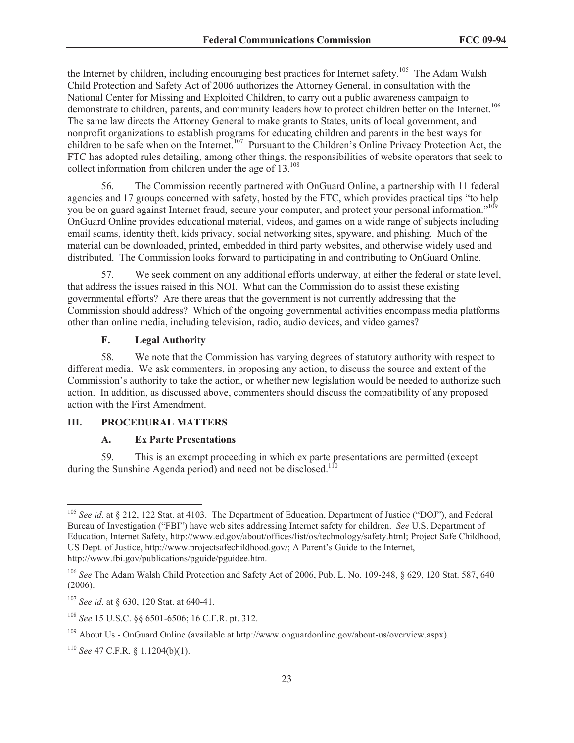the Internet by children, including encouraging best practices for Internet safety.<sup>105</sup> The Adam Walsh Child Protection and Safety Act of 2006 authorizes the Attorney General, in consultation with the National Center for Missing and Exploited Children, to carry out a public awareness campaign to demonstrate to children, parents, and community leaders how to protect children better on the Internet.<sup>106</sup> The same law directs the Attorney General to make grants to States, units of local government, and nonprofit organizations to establish programs for educating children and parents in the best ways for children to be safe when on the Internet.<sup>107</sup> Pursuant to the Children's Online Privacy Protection Act, the FTC has adopted rules detailing, among other things, the responsibilities of website operators that seek to collect information from children under the age of  $13^{108}$ .

56. The Commission recently partnered with OnGuard Online, a partnership with 11 federal agencies and 17 groups concerned with safety, hosted by the FTC, which provides practical tips "to help you be on guard against Internet fraud, secure your computer, and protect your personal information."<sup>109</sup> OnGuard Online provides educational material, videos, and games on a wide range of subjects including email scams, identity theft, kids privacy, social networking sites, spyware, and phishing. Much of the material can be downloaded, printed, embedded in third party websites, and otherwise widely used and distributed. The Commission looks forward to participating in and contributing to OnGuard Online.

57. We seek comment on any additional efforts underway, at either the federal or state level, that address the issues raised in this NOI. What can the Commission do to assist these existing governmental efforts? Are there areas that the government is not currently addressing that the Commission should address? Which of the ongoing governmental activities encompass media platforms other than online media, including television, radio, audio devices, and video games?

## **F. Legal Authority**

58. We note that the Commission has varying degrees of statutory authority with respect to different media. We ask commenters, in proposing any action, to discuss the source and extent of the Commission's authority to take the action, or whether new legislation would be needed to authorize such action. In addition, as discussed above, commenters should discuss the compatibility of any proposed action with the First Amendment.

#### **III. PROCEDURAL MATTERS**

## **A. Ex Parte Presentations**

59. This is an exempt proceeding in which ex parte presentations are permitted (except during the Sunshine Agenda period) and need not be disclosed.<sup>110</sup>

<sup>&</sup>lt;sup>105</sup> See id. at § 212, 122 Stat. at 4103. The Department of Education, Department of Justice ("DOJ"), and Federal Bureau of Investigation ("FBI") have web sites addressing Internet safety for children. *See* U.S. Department of Education, Internet Safety, http://www.ed.gov/about/offices/list/os/technology/safety.html; Project Safe Childhood, US Dept. of Justice, http://www.projectsafechildhood.gov/; A Parent's Guide to the Internet, http://www.fbi.gov/publications/pguide/pguidee.htm.

<sup>106</sup> *See* The Adam Walsh Child Protection and Safety Act of 2006, Pub. L. No. 109-248, § 629, 120 Stat. 587, 640 (2006).

<sup>107</sup> *See id*. at § 630, 120 Stat. at 640-41.

<sup>108</sup> *See* 15 U.S.C. §§ 6501-6506; 16 C.F.R. pt. 312.

<sup>109</sup> About Us - OnGuard Online (available at http://www.onguardonline.gov/about-us/overview.aspx).

<sup>110</sup> *See* 47 C.F.R. § 1.1204(b)(1).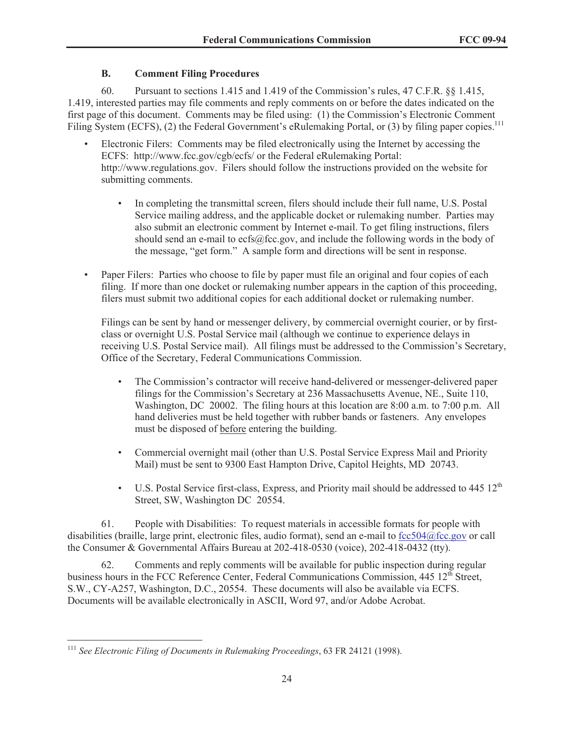# **B. Comment Filing Procedures**

60. Pursuant to sections 1.415 and 1.419 of the Commission's rules, 47 C.F.R. §§ 1.415, 1.419, interested parties may file comments and reply comments on or before the dates indicated on the first page of this document. Comments may be filed using: (1) the Commission's Electronic Comment Filing System (ECFS), (2) the Federal Government's eRulemaking Portal, or (3) by filing paper copies.<sup>111</sup>

- Electronic Filers: Comments may be filed electronically using the Internet by accessing the ECFS: http://www.fcc.gov/cgb/ecfs/ or the Federal eRulemaking Portal: http://www.regulations.gov. Filers should follow the instructions provided on the website for submitting comments.
	- In completing the transmittal screen, filers should include their full name, U.S. Postal Service mailing address, and the applicable docket or rulemaking number. Parties may also submit an electronic comment by Internet e-mail. To get filing instructions, filers should send an e-mail to ecfs@fcc.gov, and include the following words in the body of the message, "get form." A sample form and directions will be sent in response.
- Paper Filers: Parties who choose to file by paper must file an original and four copies of each filing. If more than one docket or rulemaking number appears in the caption of this proceeding, filers must submit two additional copies for each additional docket or rulemaking number.

Filings can be sent by hand or messenger delivery, by commercial overnight courier, or by firstclass or overnight U.S. Postal Service mail (although we continue to experience delays in receiving U.S. Postal Service mail). All filings must be addressed to the Commission's Secretary, Office of the Secretary, Federal Communications Commission.

- The Commission's contractor will receive hand-delivered or messenger-delivered paper filings for the Commission's Secretary at 236 Massachusetts Avenue, NE., Suite 110, Washington, DC 20002. The filing hours at this location are 8:00 a.m. to 7:00 p.m. All hand deliveries must be held together with rubber bands or fasteners. Any envelopes must be disposed of before entering the building.
- Commercial overnight mail (other than U.S. Postal Service Express Mail and Priority Mail) must be sent to 9300 East Hampton Drive, Capitol Heights, MD 20743.
- U.S. Postal Service first-class, Express, and Priority mail should be addressed to  $445 \frac{12^{th}}{25}$ Street, SW, Washington DC 20554.

61. People with Disabilities: To request materials in accessible formats for people with disabilities (braille, large print, electronic files, audio format), send an e-mail to fcc504@fcc.gov or call the Consumer & Governmental Affairs Bureau at 202-418-0530 (voice), 202-418-0432 (tty).

62. Comments and reply comments will be available for public inspection during regular business hours in the FCC Reference Center, Federal Communications Commission, 445 12<sup>th</sup> Street, S.W., CY-A257, Washington, D.C., 20554. These documents will also be available via ECFS. Documents will be available electronically in ASCII, Word 97, and/or Adobe Acrobat.

<sup>111</sup> *See Electronic Filing of Documents in Rulemaking Proceedings*, 63 FR 24121 (1998).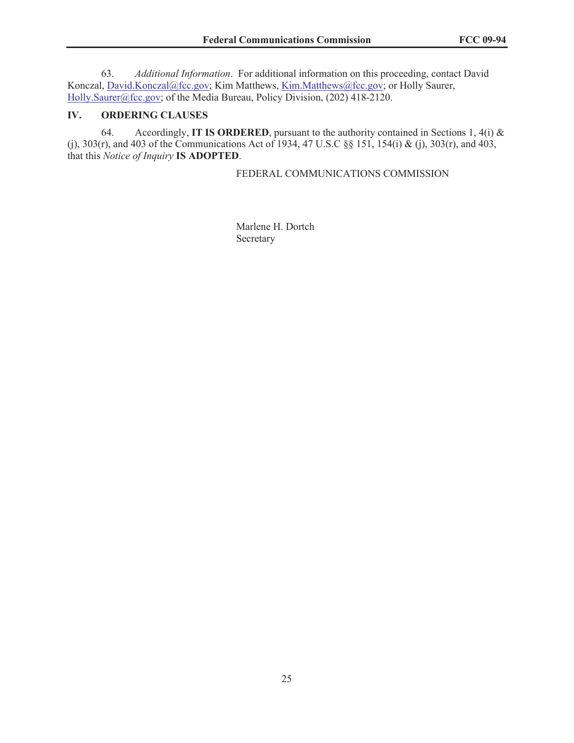63. *Additional Information*. For additional information on this proceeding, contact David Konczal, David.Konczal@fcc.gov; Kim Matthews, Kim.Matthews@fcc.gov; or Holly Saurer, Holly.Saurer@fcc.gov; of the Media Bureau, Policy Division, (202) 418-2120.

# **IV. ORDERING CLAUSES**

64. Accordingly, **IT IS ORDERED**, pursuant to the authority contained in Sections 1, 4(i) & (j), 303(r), and 403 of the Communications Act of 1934, 47 U.S.C §§ 151, 154(i) & (j), 303(r), and 403, that this *Notice of Inquiry* **IS ADOPTED**.

## FEDERAL COMMUNICATIONS COMMISSION

Marlene H. Dortch Secretary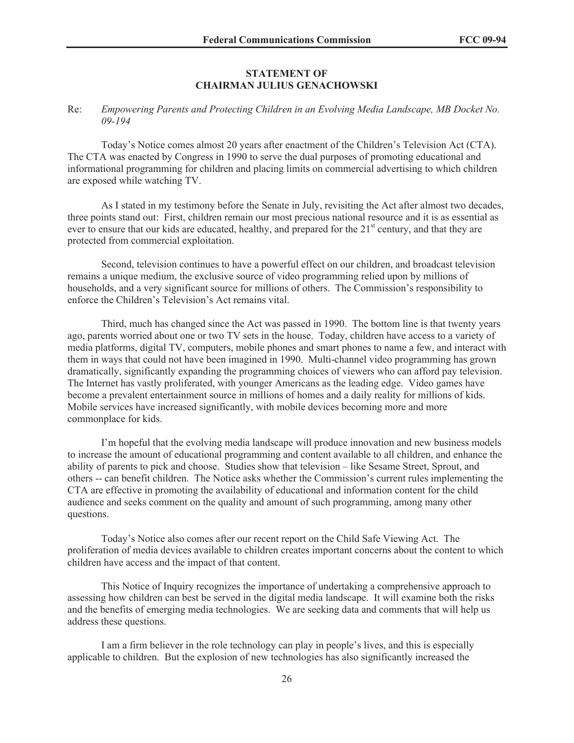## **STATEMENT OF CHAIRMAN JULIUS GENACHOWSKI**

#### Re: *Empowering Parents and Protecting Children in an Evolving Media Landscape, MB Docket No. 09-194*

Today's Notice comes almost 20 years after enactment of the Children's Television Act (CTA). The CTA was enacted by Congress in 1990 to serve the dual purposes of promoting educational and informational programming for children and placing limits on commercial advertising to which children are exposed while watching TV.

As I stated in my testimony before the Senate in July, revisiting the Act after almost two decades, three points stand out: First, children remain our most precious national resource and it is as essential as ever to ensure that our kids are educated, healthy, and prepared for the 21<sup>st</sup> century, and that they are protected from commercial exploitation.

Second, television continues to have a powerful effect on our children, and broadcast television remains a unique medium, the exclusive source of video programming relied upon by millions of households, and a very significant source for millions of others. The Commission's responsibility to enforce the Children's Television's Act remains vital.

Third, much has changed since the Act was passed in 1990. The bottom line is that twenty years ago, parents worried about one or two TV sets in the house. Today, children have access to a variety of media platforms, digital TV, computers, mobile phones and smart phones to name a few, and interact with them in ways that could not have been imagined in 1990. Multi-channel video programming has grown dramatically, significantly expanding the programming choices of viewers who can afford pay television. The Internet has vastly proliferated, with younger Americans as the leading edge. Video games have become a prevalent entertainment source in millions of homes and a daily reality for millions of kids. Mobile services have increased significantly, with mobile devices becoming more and more commonplace for kids.

I'm hopeful that the evolving media landscape will produce innovation and new business models to increase the amount of educational programming and content available to all children, and enhance the ability of parents to pick and choose. Studies show that television – like Sesame Street, Sprout, and others -- can benefit children. The Notice asks whether the Commission's current rules implementing the CTA are effective in promoting the availability of educational and information content for the child audience and seeks comment on the quality and amount of such programming, among many other questions.

Today's Notice also comes after our recent report on the Child Safe Viewing Act. The proliferation of media devices available to children creates important concerns about the content to which children have access and the impact of that content.

This Notice of Inquiry recognizes the importance of undertaking a comprehensive approach to assessing how children can best be served in the digital media landscape. It will examine both the risks and the benefits of emerging media technologies. We are seeking data and comments that will help us address these questions.

I am a firm believer in the role technology can play in people's lives, and this is especially applicable to children. But the explosion of new technologies has also significantly increased the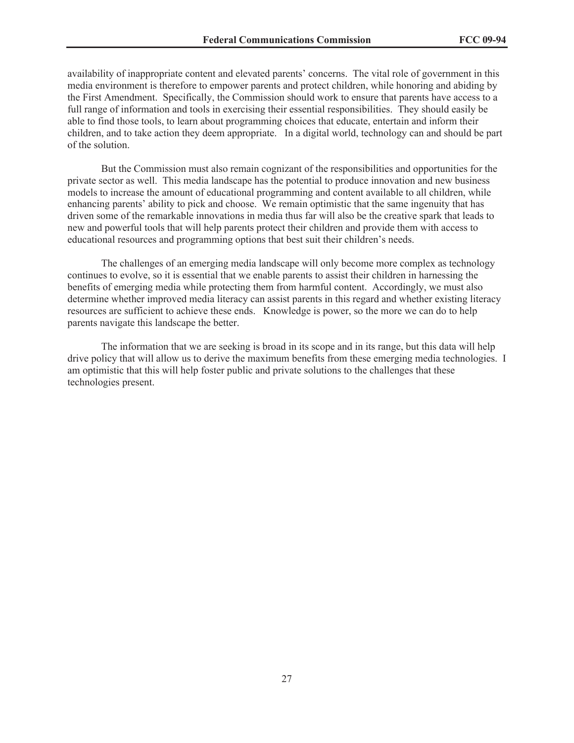availability of inappropriate content and elevated parents' concerns. The vital role of government in this media environment is therefore to empower parents and protect children, while honoring and abiding by the First Amendment. Specifically, the Commission should work to ensure that parents have access to a full range of information and tools in exercising their essential responsibilities. They should easily be able to find those tools, to learn about programming choices that educate, entertain and inform their children, and to take action they deem appropriate. In a digital world, technology can and should be part of the solution.

But the Commission must also remain cognizant of the responsibilities and opportunities for the private sector as well. This media landscape has the potential to produce innovation and new business models to increase the amount of educational programming and content available to all children, while enhancing parents' ability to pick and choose. We remain optimistic that the same ingenuity that has driven some of the remarkable innovations in media thus far will also be the creative spark that leads to new and powerful tools that will help parents protect their children and provide them with access to educational resources and programming options that best suit their children's needs.

The challenges of an emerging media landscape will only become more complex as technology continues to evolve, so it is essential that we enable parents to assist their children in harnessing the benefits of emerging media while protecting them from harmful content. Accordingly, we must also determine whether improved media literacy can assist parents in this regard and whether existing literacy resources are sufficient to achieve these ends. Knowledge is power, so the more we can do to help parents navigate this landscape the better.

The information that we are seeking is broad in its scope and in its range, but this data will help drive policy that will allow us to derive the maximum benefits from these emerging media technologies. I am optimistic that this will help foster public and private solutions to the challenges that these technologies present.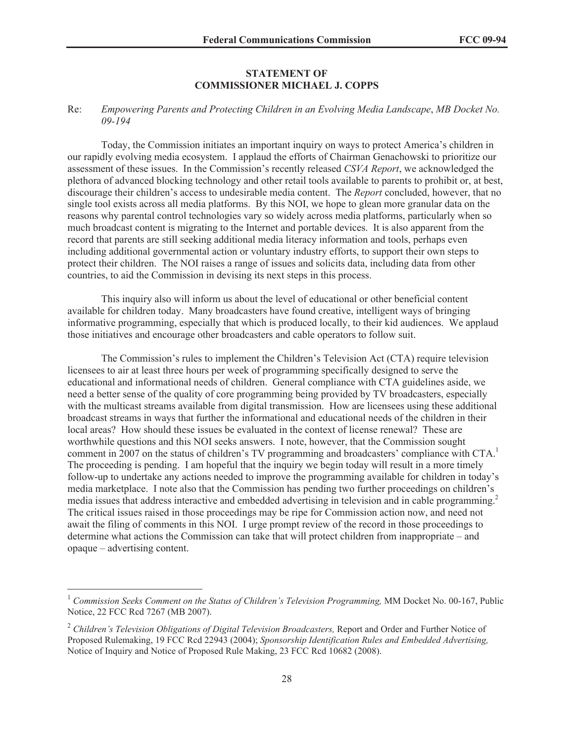## **STATEMENT OF COMMISSIONER MICHAEL J. COPPS**

#### Re: *Empowering Parents and Protecting Children in an Evolving Media Landscape*, *MB Docket No. 09-194*

Today, the Commission initiates an important inquiry on ways to protect America's children in our rapidly evolving media ecosystem. I applaud the efforts of Chairman Genachowski to prioritize our assessment of these issues. In the Commission's recently released *CSVA Report*, we acknowledged the plethora of advanced blocking technology and other retail tools available to parents to prohibit or, at best, discourage their children's access to undesirable media content. The *Report* concluded, however, that no single tool exists across all media platforms. By this NOI, we hope to glean more granular data on the reasons why parental control technologies vary so widely across media platforms, particularly when so much broadcast content is migrating to the Internet and portable devices. It is also apparent from the record that parents are still seeking additional media literacy information and tools, perhaps even including additional governmental action or voluntary industry efforts, to support their own steps to protect their children. The NOI raises a range of issues and solicits data, including data from other countries, to aid the Commission in devising its next steps in this process.

This inquiry also will inform us about the level of educational or other beneficial content available for children today. Many broadcasters have found creative, intelligent ways of bringing informative programming, especially that which is produced locally, to their kid audiences. We applaud those initiatives and encourage other broadcasters and cable operators to follow suit.

The Commission's rules to implement the Children's Television Act (CTA) require television licensees to air at least three hours per week of programming specifically designed to serve the educational and informational needs of children. General compliance with CTA guidelines aside, we need a better sense of the quality of core programming being provided by TV broadcasters, especially with the multicast streams available from digital transmission. How are licensees using these additional broadcast streams in ways that further the informational and educational needs of the children in their local areas? How should these issues be evaluated in the context of license renewal? These are worthwhile questions and this NOI seeks answers. I note, however, that the Commission sought comment in 2007 on the status of children's TV programming and broadcasters' compliance with CTA.<sup>1</sup> The proceeding is pending. I am hopeful that the inquiry we begin today will result in a more timely follow-up to undertake any actions needed to improve the programming available for children in today's media marketplace. I note also that the Commission has pending two further proceedings on children's media issues that address interactive and embedded advertising in television and in cable programming.<sup>2</sup> The critical issues raised in those proceedings may be ripe for Commission action now, and need not await the filing of comments in this NOI. I urge prompt review of the record in those proceedings to determine what actions the Commission can take that will protect children from inappropriate – and opaque – advertising content.

<sup>&</sup>lt;sup>1</sup> Commission Seeks Comment on the Status of Children's Television Programming, MM Docket No. 00-167, Public Notice, 22 FCC Rcd 7267 (MB 2007).

<sup>&</sup>lt;sup>2</sup> Children's Television Obligations of Digital Television Broadcasters, Report and Order and Further Notice of Proposed Rulemaking, 19 FCC Rcd 22943 (2004); *Sponsorship Identification Rules and Embedded Advertising,*  Notice of Inquiry and Notice of Proposed Rule Making, 23 FCC Rcd 10682 (2008).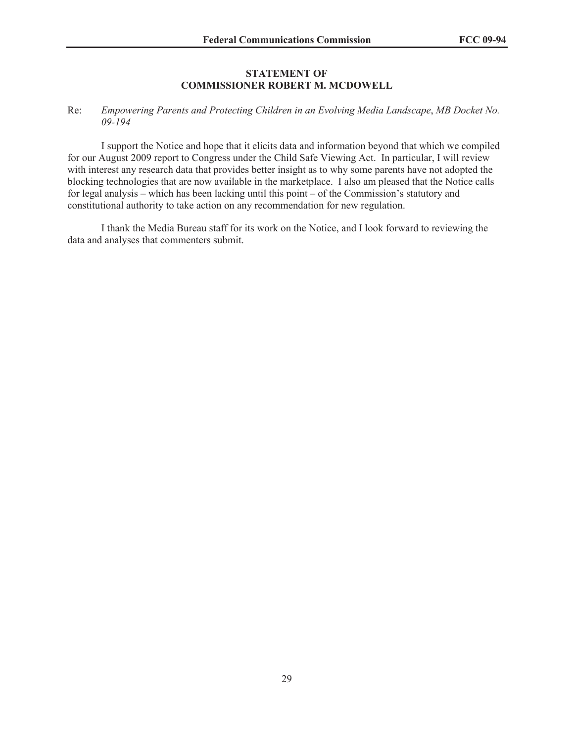#### **STATEMENT OF COMMISSIONER ROBERT M. MCDOWELL**

## Re: *Empowering Parents and Protecting Children in an Evolving Media Landscape*, *MB Docket No. 09-194*

I support the Notice and hope that it elicits data and information beyond that which we compiled for our August 2009 report to Congress under the Child Safe Viewing Act. In particular, I will review with interest any research data that provides better insight as to why some parents have not adopted the blocking technologies that are now available in the marketplace. I also am pleased that the Notice calls for legal analysis – which has been lacking until this point – of the Commission's statutory and constitutional authority to take action on any recommendation for new regulation.

I thank the Media Bureau staff for its work on the Notice, and I look forward to reviewing the data and analyses that commenters submit.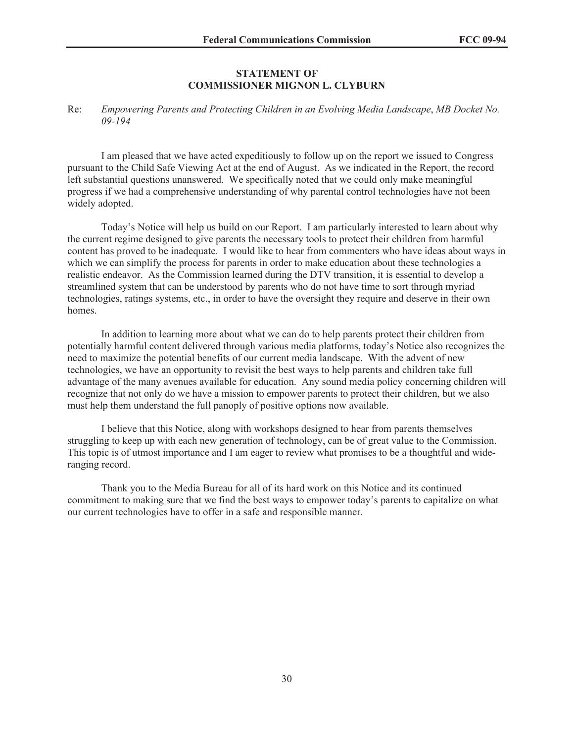## **STATEMENT OF COMMISSIONER MIGNON L. CLYBURN**

#### Re: *Empowering Parents and Protecting Children in an Evolving Media Landscape*, *MB Docket No. 09-194*

I am pleased that we have acted expeditiously to follow up on the report we issued to Congress pursuant to the Child Safe Viewing Act at the end of August. As we indicated in the Report, the record left substantial questions unanswered. We specifically noted that we could only make meaningful progress if we had a comprehensive understanding of why parental control technologies have not been widely adopted.

Today's Notice will help us build on our Report. I am particularly interested to learn about why the current regime designed to give parents the necessary tools to protect their children from harmful content has proved to be inadequate. I would like to hear from commenters who have ideas about ways in which we can simplify the process for parents in order to make education about these technologies a realistic endeavor. As the Commission learned during the DTV transition, it is essential to develop a streamlined system that can be understood by parents who do not have time to sort through myriad technologies, ratings systems, etc., in order to have the oversight they require and deserve in their own homes.

In addition to learning more about what we can do to help parents protect their children from potentially harmful content delivered through various media platforms, today's Notice also recognizes the need to maximize the potential benefits of our current media landscape. With the advent of new technologies, we have an opportunity to revisit the best ways to help parents and children take full advantage of the many avenues available for education. Any sound media policy concerning children will recognize that not only do we have a mission to empower parents to protect their children, but we also must help them understand the full panoply of positive options now available.

I believe that this Notice, along with workshops designed to hear from parents themselves struggling to keep up with each new generation of technology, can be of great value to the Commission. This topic is of utmost importance and I am eager to review what promises to be a thoughtful and wideranging record.

Thank you to the Media Bureau for all of its hard work on this Notice and its continued commitment to making sure that we find the best ways to empower today's parents to capitalize on what our current technologies have to offer in a safe and responsible manner.